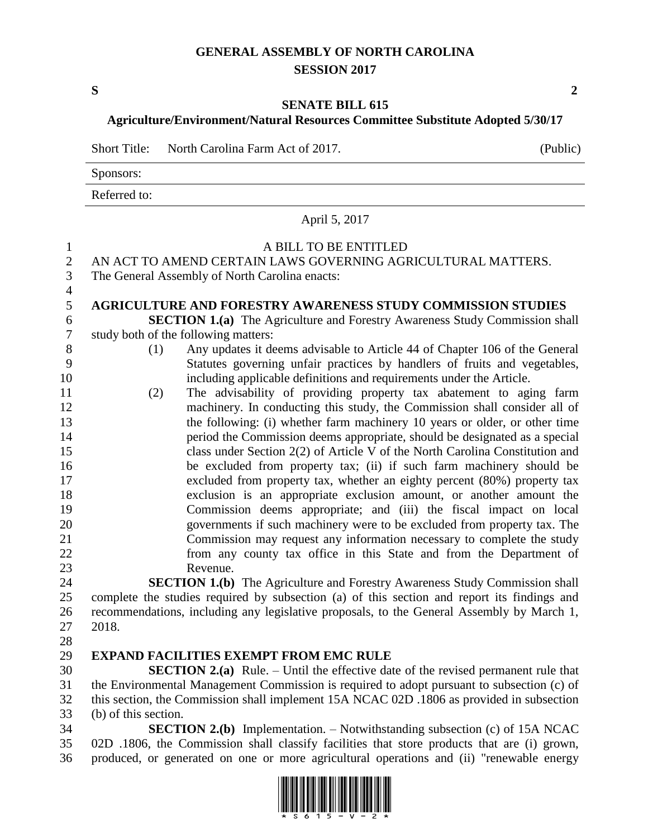### **GENERAL ASSEMBLY OF NORTH CAROLINA SESSION 2017**

**S 2**

# **SENATE BILL 615**

## **Agriculture/Environment/Natural Resources Committee Substitute Adopted 5/30/17**

Short Title: North Carolina Farm Act of 2017. (Public)

Sponsors:

Referred to:

|                                                       | April 5, 2017                                                                                                                                     |
|-------------------------------------------------------|---------------------------------------------------------------------------------------------------------------------------------------------------|
| $\mathbf{1}$<br>$\overline{2}$<br>3<br>$\overline{4}$ | A BILL TO BE ENTITLED<br>AN ACT TO AMEND CERTAIN LAWS GOVERNING AGRICULTURAL MATTERS.<br>The General Assembly of North Carolina enacts:           |
| 5                                                     | <b>AGRICULTURE AND FORESTRY AWARENESS STUDY COMMISSION STUDIES</b>                                                                                |
| 6                                                     | <b>SECTION 1.(a)</b> The Agriculture and Forestry Awareness Study Commission shall                                                                |
| $\overline{7}$                                        | study both of the following matters:                                                                                                              |
| 8                                                     | Any updates it deems advisable to Article 44 of Chapter 106 of the General<br>(1)                                                                 |
| 9<br>10                                               | Statutes governing unfair practices by handlers of fruits and vegetables,<br>including applicable definitions and requirements under the Article. |
| 11                                                    | The advisability of providing property tax abatement to aging farm<br>(2)                                                                         |
| 12                                                    | machinery. In conducting this study, the Commission shall consider all of                                                                         |
| 13                                                    | the following: (i) whether farm machinery 10 years or older, or other time                                                                        |
| 14                                                    | period the Commission deems appropriate, should be designated as a special                                                                        |
| 15                                                    | class under Section 2(2) of Article V of the North Carolina Constitution and                                                                      |
| 16                                                    | be excluded from property tax; (ii) if such farm machinery should be                                                                              |
| 17                                                    | excluded from property tax, whether an eighty percent (80%) property tax                                                                          |
| 18                                                    | exclusion is an appropriate exclusion amount, or another amount the                                                                               |
| 19                                                    | Commission deems appropriate; and (iii) the fiscal impact on local                                                                                |
| 20                                                    | governments if such machinery were to be excluded from property tax. The                                                                          |
| 21                                                    | Commission may request any information necessary to complete the study                                                                            |
| 22                                                    | from any county tax office in this State and from the Department of                                                                               |
| 23                                                    | Revenue.                                                                                                                                          |
| 24                                                    | <b>SECTION 1.(b)</b> The Agriculture and Forestry Awareness Study Commission shall                                                                |
| 25                                                    | complete the studies required by subsection (a) of this section and report its findings and                                                       |
| 26<br>27                                              | recommendations, including any legislative proposals, to the General Assembly by March 1,<br>2018.                                                |
| 28                                                    |                                                                                                                                                   |
| 29                                                    | <b>EXPAND FACILITIES EXEMPT FROM EMC RULE</b>                                                                                                     |
| 30                                                    | <b>SECTION 2.(a)</b> Rule. – Until the effective date of the revised permanent rule that                                                          |
| 31                                                    | the Environmental Management Commission is required to adopt pursuant to subsection (c) of                                                        |
| 32                                                    | this section, the Commission shall implement 15A NCAC 02D .1806 as provided in subsection                                                         |
| 33                                                    | (b) of this section.                                                                                                                              |
| 34                                                    | <b>SECTION 2.(b)</b> Implementation. – Notwithstanding subsection (c) of 15A NCAC                                                                 |
| 35                                                    | 02D .1806, the Commission shall classify facilities that store products that are (i) grown,                                                       |
| 36                                                    | produced, or generated on one or more agricultural operations and (ii) "renewable energy                                                          |

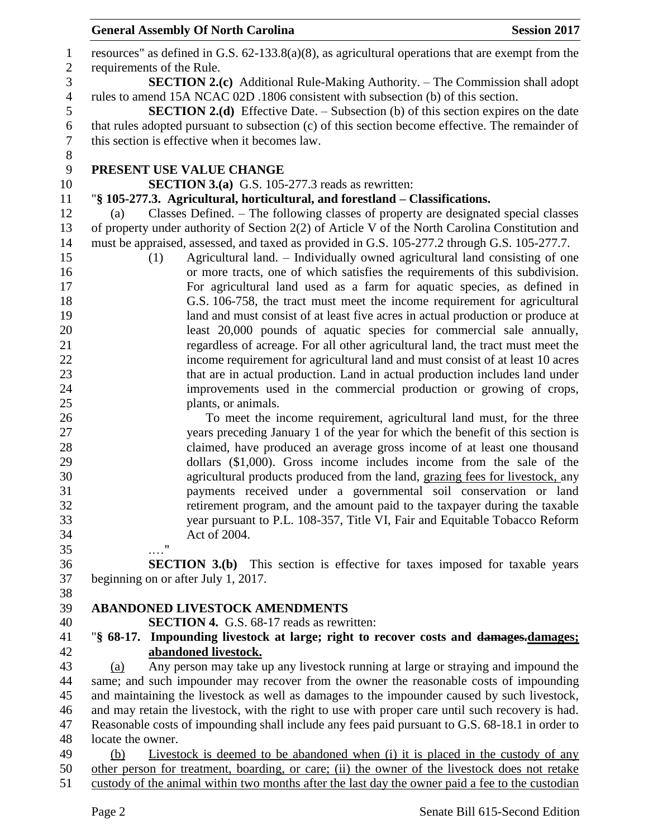| <b>General Assembly Of North Carolina</b>                                                                                         | <b>Session 2017</b> |
|-----------------------------------------------------------------------------------------------------------------------------------|---------------------|
| resources" as defined in G.S. $62-133.8(a)(8)$ , as agricultural operations that are exempt from the<br>requirements of the Rule. |                     |
| <b>SECTION 2.(c)</b> Additional Rule-Making Authority. – The Commission shall adopt                                               |                     |
| rules to amend 15A NCAC 02D .1806 consistent with subsection (b) of this section.                                                 |                     |
| <b>SECTION 2.(d)</b> Effective Date. – Subsection (b) of this section expires on the date                                         |                     |
| that rules adopted pursuant to subsection (c) of this section become effective. The remainder of                                  |                     |
| this section is effective when it becomes law.                                                                                    |                     |
| PRESENT USE VALUE CHANGE                                                                                                          |                     |
| <b>SECTION 3.(a)</b> G.S. 105-277.3 reads as rewritten:                                                                           |                     |
| "§ 105-277.3. Agricultural, horticultural, and forestland – Classifications.                                                      |                     |
| Classes Defined. – The following classes of property are designated special classes<br>(a)                                        |                     |
| of property under authority of Section 2(2) of Article V of the North Carolina Constitution and                                   |                     |
| must be appraised, assessed, and taxed as provided in G.S. 105-277.2 through G.S. 105-277.7.                                      |                     |
| Agricultural land. – Individually owned agricultural land consisting of one<br>(1)                                                |                     |
| or more tracts, one of which satisfies the requirements of this subdivision.                                                      |                     |
| For agricultural land used as a farm for aquatic species, as defined in                                                           |                     |
| G.S. 106-758, the tract must meet the income requirement for agricultural                                                         |                     |
| land and must consist of at least five acres in actual production or produce at                                                   |                     |
| least 20,000 pounds of aquatic species for commercial sale annually,                                                              |                     |
| regardless of acreage. For all other agricultural land, the tract must meet the                                                   |                     |
| income requirement for agricultural land and must consist of at least 10 acres                                                    |                     |
| that are in actual production. Land in actual production includes land under                                                      |                     |
| improvements used in the commercial production or growing of crops,                                                               |                     |
| plants, or animals.                                                                                                               |                     |
| To meet the income requirement, agricultural land must, for the three                                                             |                     |
| years preceding January 1 of the year for which the benefit of this section is                                                    |                     |
| claimed, have produced an average gross income of at least one thousand                                                           |                     |
| dollars $(\$1,000)$ . Gross income includes income from the sale of the                                                           |                     |
| agricultural products produced from the land, grazing fees for livestock, any                                                     |                     |
| payments received under a governmental soil conservation or land                                                                  |                     |
| retirement program, and the amount paid to the taxpayer during the taxable                                                        |                     |
| year pursuant to P.L. 108-357, Title VI, Fair and Equitable Tobacco Reform                                                        |                     |
| Act of 2004.                                                                                                                      |                     |
| 11                                                                                                                                |                     |
| <b>SECTION 3.(b)</b> This section is effective for taxes imposed for taxable years                                                |                     |
| beginning on or after July 1, 2017.                                                                                               |                     |
|                                                                                                                                   |                     |
| <b>ABANDONED LIVESTOCK AMENDMENTS</b><br><b>SECTION 4.</b> G.S. 68-17 reads as rewritten:                                         |                     |
| Impounding livestock at large; right to recover costs and damages.damages;<br>$\frac{1}{2}$ 68-17.                                |                     |
| abandoned livestock.                                                                                                              |                     |
| Any person may take up any livestock running at large or straying and impound the<br><u>(a)</u>                                   |                     |
|                                                                                                                                   |                     |

 same; and such impounder may recover from the owner the reasonable costs of impounding and maintaining the livestock as well as damages to the impounder caused by such livestock, and may retain the livestock, with the right to use with proper care until such recovery is had. Reasonable costs of impounding shall include any fees paid pursuant to G.S. 68-18.1 in order to locate the owner.

 (b) Livestock is deemed to be abandoned when (i) it is placed in the custody of any other person for treatment, boarding, or care; (ii) the owner of the livestock does not retake custody of the animal within two months after the last day the owner paid a fee to the custodian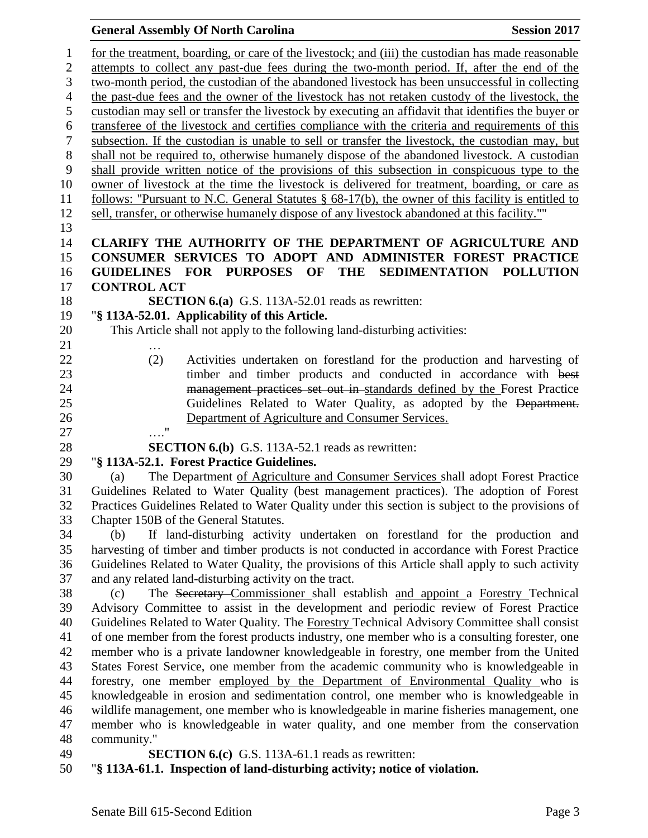for the treatment, boarding, or care of the livestock; and (iii) the custodian has made reasonable attempts to collect any past-due fees during the two-month period. If, after the end of the two-month period, the custodian of the abandoned livestock has been unsuccessful in collecting the past-due fees and the owner of the livestock has not retaken custody of the livestock, the custodian may sell or transfer the livestock by executing an affidavit that identifies the buyer or transferee of the livestock and certifies compliance with the criteria and requirements of this subsection. If the custodian is unable to sell or transfer the livestock, the custodian may, but shall not be required to, otherwise humanely dispose of the abandoned livestock. A custodian shall provide written notice of the provisions of this subsection in conspicuous type to the owner of livestock at the time the livestock is delivered for treatment, boarding, or care as follows: "Pursuant to N.C. General Statutes § 68-17(b), the owner of this facility is entitled to sell, transfer, or otherwise humanely dispose of any livestock abandoned at this facility."" **CLARIFY THE AUTHORITY OF THE DEPARTMENT OF AGRICULTURE AND CONSUMER SERVICES TO ADOPT AND ADMINISTER FOREST PRACTICE GUIDELINES FOR PURPOSES OF THE SEDIMENTATION POLLUTION CONTROL ACT SECTION 6.(a)** G.S. 113A-52.01 reads as rewritten: "**§ 113A-52.01. Applicability of this Article.** This Article shall not apply to the following land-disturbing activities: … (2) Activities undertaken on forestland for the production and harvesting of 23 timber and timber products and conducted in accordance with best **management practices set out in** standards defined by the Forest Practice Guidelines Related to Water Quality, as adopted by the Department. Department of Agriculture and Consumer Services. …." **SECTION 6.(b)** G.S. 113A-52.1 reads as rewritten: "**§ 113A-52.1. Forest Practice Guidelines.** (a) The Department of Agriculture and Consumer Services shall adopt Forest Practice Guidelines Related to Water Quality (best management practices). The adoption of Forest Practices Guidelines Related to Water Quality under this section is subject to the provisions of Chapter 150B of the General Statutes. (b) If land-disturbing activity undertaken on forestland for the production and harvesting of timber and timber products is not conducted in accordance with Forest Practice Guidelines Related to Water Quality, the provisions of this Article shall apply to such activity and any related land-disturbing activity on the tract. (c) The Secretary Commissioner shall establish and appoint a Forestry Technical Advisory Committee to assist in the development and periodic review of Forest Practice Guidelines Related to Water Quality. The Forestry Technical Advisory Committee shall consist of one member from the forest products industry, one member who is a consulting forester, one member who is a private landowner knowledgeable in forestry, one member from the United States Forest Service, one member from the academic community who is knowledgeable in 44 forestry, one member employed by the Department of Environmental Quality who is knowledgeable in erosion and sedimentation control, one member who is knowledgeable in wildlife management, one member who is knowledgeable in marine fisheries management, one member who is knowledgeable in water quality, and one member from the conservation community." **SECTION 6.(c)** G.S. 113A-61.1 reads as rewritten: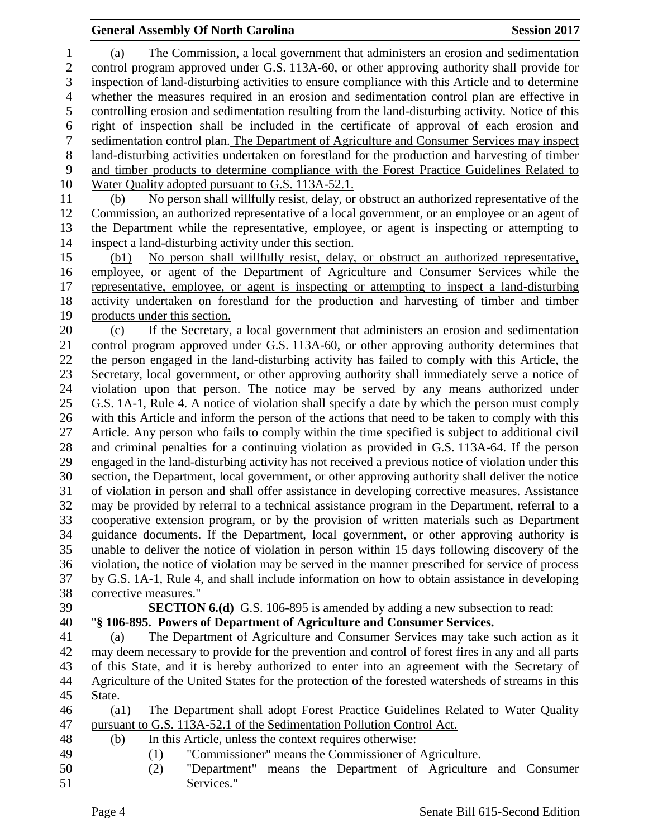(a) The Commission, a local government that administers an erosion and sedimentation control program approved under G.S. 113A-60, or other approving authority shall provide for inspection of land-disturbing activities to ensure compliance with this Article and to determine whether the measures required in an erosion and sedimentation control plan are effective in controlling erosion and sedimentation resulting from the land-disturbing activity. Notice of this right of inspection shall be included in the certificate of approval of each erosion and sedimentation control plan. The Department of Agriculture and Consumer Services may inspect land-disturbing activities undertaken on forestland for the production and harvesting of timber and timber products to determine compliance with the Forest Practice Guidelines Related to Water Quality adopted pursuant to G.S. 113A-52.1.

 (b) No person shall willfully resist, delay, or obstruct an authorized representative of the Commission, an authorized representative of a local government, or an employee or an agent of the Department while the representative, employee, or agent is inspecting or attempting to inspect a land-disturbing activity under this section.

 (b1) No person shall willfully resist, delay, or obstruct an authorized representative, employee, or agent of the Department of Agriculture and Consumer Services while the representative, employee, or agent is inspecting or attempting to inspect a land-disturbing activity undertaken on forestland for the production and harvesting of timber and timber products under this section.

 (c) If the Secretary, a local government that administers an erosion and sedimentation control program approved under G.S. 113A-60, or other approving authority determines that the person engaged in the land-disturbing activity has failed to comply with this Article, the Secretary, local government, or other approving authority shall immediately serve a notice of violation upon that person. The notice may be served by any means authorized under G.S. 1A-1, Rule 4. A notice of violation shall specify a date by which the person must comply with this Article and inform the person of the actions that need to be taken to comply with this Article. Any person who fails to comply within the time specified is subject to additional civil and criminal penalties for a continuing violation as provided in G.S. 113A-64. If the person engaged in the land-disturbing activity has not received a previous notice of violation under this section, the Department, local government, or other approving authority shall deliver the notice of violation in person and shall offer assistance in developing corrective measures. Assistance may be provided by referral to a technical assistance program in the Department, referral to a cooperative extension program, or by the provision of written materials such as Department guidance documents. If the Department, local government, or other approving authority is unable to deliver the notice of violation in person within 15 days following discovery of the violation, the notice of violation may be served in the manner prescribed for service of process by G.S. 1A-1, Rule 4, and shall include information on how to obtain assistance in developing corrective measures."

**SECTION 6.(d)** G.S. 106-895 is amended by adding a new subsection to read:

"**§ 106-895. Powers of Department of Agriculture and Consumer Services.**

 (a) The Department of Agriculture and Consumer Services may take such action as it may deem necessary to provide for the prevention and control of forest fires in any and all parts of this State, and it is hereby authorized to enter into an agreement with the Secretary of Agriculture of the United States for the protection of the forested watersheds of streams in this State.

| 46 | (al) |     | The Department shall adopt Forest Practice Guidelines Related to Water Quality |  |  |  |  |
|----|------|-----|--------------------------------------------------------------------------------|--|--|--|--|
| 47 |      |     | pursuant to G.S. 113A-52.1 of the Sedimentation Pollution Control Act.         |  |  |  |  |
| 48 | (b)  |     | In this Article, unless the context requires otherwise:                        |  |  |  |  |
| 49 |      |     | "Commissioner" means the Commissioner of Agriculture.                          |  |  |  |  |
| 50 |      | (2) | "Department" means the Department of Agriculture and Consumer                  |  |  |  |  |
| 51 |      |     | Services."                                                                     |  |  |  |  |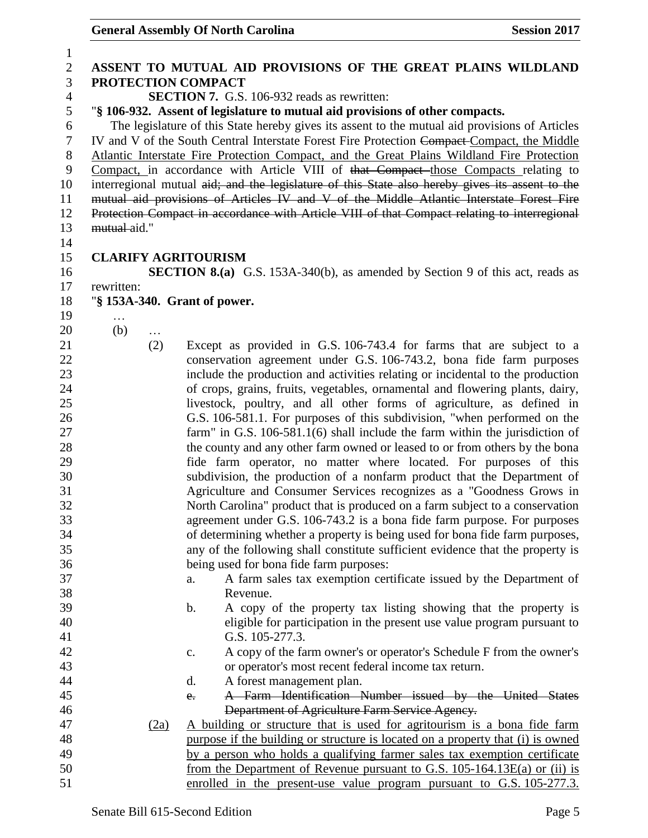| $\mathbf{1}$   |              |          |                                                                                                 |
|----------------|--------------|----------|-------------------------------------------------------------------------------------------------|
| $\overline{2}$ |              |          | ASSENT TO MUTUAL AID PROVISIONS OF THE GREAT PLAINS WILDLAND                                    |
| 3              |              |          | PROTECTION COMPACT                                                                              |
| $\overline{4}$ |              |          | <b>SECTION 7.</b> G.S. 106-932 reads as rewritten:                                              |
| 5              |              |          | "§ 106-932. Assent of legislature to mutual aid provisions of other compacts.                   |
|                |              |          |                                                                                                 |
| 6              |              |          | The legislature of this State hereby gives its assent to the mutual aid provisions of Articles  |
| $\tau$         |              |          | IV and V of the South Central Interstate Forest Fire Protection Compact Compact, the Middle     |
| $8\phantom{1}$ |              |          | Atlantic Interstate Fire Protection Compact, and the Great Plains Wildland Fire Protection      |
| 9              |              |          | Compact, in accordance with Article VIII of that Compact those Compacts relating to             |
| 10             |              |          | interregional mutual aid; and the legislature of this State also hereby gives its assent to the |
| 11             |              |          | mutual aid provisions of Articles IV and V of the Middle Atlantic Interstate Forest Fire        |
| 12             |              |          | Protection Compact in accordance with Article VIII of that Compact relating to interregional    |
| 13             | mutual aid." |          |                                                                                                 |
| 14             |              |          |                                                                                                 |
| 15             |              |          | <b>CLARIFY AGRITOURISM</b>                                                                      |
| 16             |              |          | <b>SECTION 8.(a)</b> G.S. 153A-340(b), as amended by Section 9 of this act, reads as            |
| 17             | rewritten:   |          |                                                                                                 |
| 18             |              |          | "§ 153A-340. Grant of power.                                                                    |
|                |              |          |                                                                                                 |
| 19             | $\cdots$     |          |                                                                                                 |
| 20             | (b)          | $\ldots$ |                                                                                                 |
| 21             |              | (2)      | Except as provided in G.S. 106-743.4 for farms that are subject to a                            |
| 22             |              |          | conservation agreement under G.S. 106-743.2, bona fide farm purposes                            |
| 23             |              |          | include the production and activities relating or incidental to the production                  |
| 24             |              |          | of crops, grains, fruits, vegetables, ornamental and flowering plants, dairy,                   |
| 25             |              |          | livestock, poultry, and all other forms of agriculture, as defined in                           |
| 26             |              |          | G.S. 106-581.1. For purposes of this subdivision, "when performed on the                        |
| 27             |              |          | farm" in G.S. $106-581.1(6)$ shall include the farm within the jurisdiction of                  |
| 28             |              |          | the county and any other farm owned or leased to or from others by the bona                     |
| 29             |              |          | fide farm operator, no matter where located. For purposes of this                               |
| 30             |              |          | subdivision, the production of a nonfarm product that the Department of                         |
| 31             |              |          | Agriculture and Consumer Services recognizes as a "Goodness Grows in                            |
| 32             |              |          | North Carolina" product that is produced on a farm subject to a conservation                    |
| 33             |              |          | agreement under G.S. 106-743.2 is a bona fide farm purpose. For purposes                        |
| 34             |              |          | of determining whether a property is being used for bona fide farm purposes,                    |
| 35             |              |          | any of the following shall constitute sufficient evidence that the property is                  |
|                |              |          |                                                                                                 |
| 36             |              |          | being used for bona fide farm purposes:                                                         |
| 37             |              |          | A farm sales tax exemption certificate issued by the Department of<br>a.                        |
| 38             |              |          | Revenue.                                                                                        |
| 39             |              |          | A copy of the property tax listing showing that the property is<br>b.                           |
| 40             |              |          | eligible for participation in the present use value program pursuant to                         |
| 41             |              |          | G.S. 105-277.3.                                                                                 |
| 42             |              |          | A copy of the farm owner's or operator's Schedule F from the owner's<br>c.                      |
| 43             |              |          | or operator's most recent federal income tax return.                                            |
| 44             |              |          | A forest management plan.<br>d.                                                                 |
| 45             |              |          | A Farm Identification Number issued by the United States<br>$e_{\cdot}$                         |
| 46             |              |          | Department of Agriculture Farm Service Agency.                                                  |
| 47             |              | (2a)     | A building or structure that is used for agritourism is a bona fide farm                        |
| 48             |              |          | purpose if the building or structure is located on a property that (i) is owned                 |
| 49             |              |          | by a person who holds a qualifying farmer sales tax exemption certificate                       |
| 50             |              |          | from the Department of Revenue pursuant to G.S. $105-164.13E(a)$ or (ii) is                     |
|                |              |          |                                                                                                 |
| 51             |              |          | enrolled in the present-use value program pursuant to G.S. 105-277.3.                           |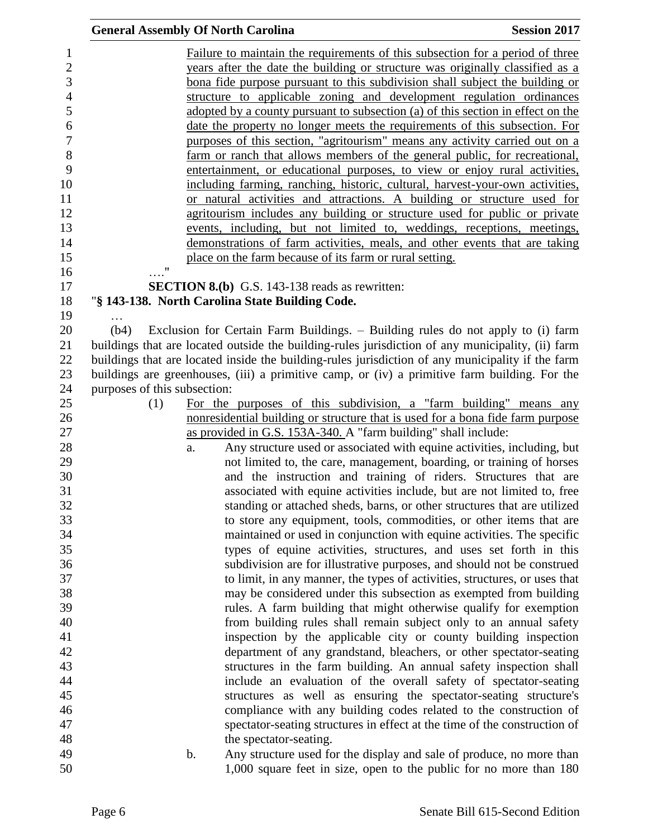|                | <b>General Assembly Of North Carolina</b> |                                                                                                   | <b>Session 2017</b> |
|----------------|-------------------------------------------|---------------------------------------------------------------------------------------------------|---------------------|
| $\mathbf{1}$   |                                           | Failure to maintain the requirements of this subsection for a period of three                     |                     |
| $\sqrt{2}$     |                                           | years after the date the building or structure was originally classified as a                     |                     |
| 3              |                                           | bona fide purpose pursuant to this subdivision shall subject the building or                      |                     |
| $\overline{4}$ |                                           | structure to applicable zoning and development regulation ordinances                              |                     |
| 5              |                                           | adopted by a county pursuant to subsection (a) of this section in effect on the                   |                     |
| 6              |                                           | date the property no longer meets the requirements of this subsection. For                        |                     |
| $\overline{7}$ |                                           | purposes of this section, "agritourism" means any activity carried out on a                       |                     |
| 8              |                                           | farm or ranch that allows members of the general public, for recreational,                        |                     |
| 9              |                                           | entertainment, or educational purposes, to view or enjoy rural activities,                        |                     |
| 10             |                                           | including farming, ranching, historic, cultural, harvest-your-own activities,                     |                     |
| 11             |                                           | or natural activities and attractions. A building or structure used for                           |                     |
| 12             |                                           | agritourism includes any building or structure used for public or private                         |                     |
| 13             |                                           | events, including, but not limited to, weddings, receptions, meetings,                            |                     |
| 14             |                                           | demonstrations of farm activities, meals, and other events that are taking                        |                     |
| 15             |                                           | place on the farm because of its farm or rural setting.                                           |                     |
| 16             | $^{\prime\prime}$                         |                                                                                                   |                     |
| 17             |                                           | <b>SECTION 8.(b)</b> G.S. 143-138 reads as rewritten:                                             |                     |
| 18             |                                           | "§ 143-138. North Carolina State Building Code.                                                   |                     |
| 19             |                                           |                                                                                                   |                     |
| 20             | (b4)                                      | Exclusion for Certain Farm Buildings. – Building rules do not apply to (i) farm                   |                     |
| 21             |                                           | buildings that are located outside the building-rules jurisdiction of any municipality, (ii) farm |                     |
| 22             |                                           | buildings that are located inside the building-rules jurisdiction of any municipality if the farm |                     |
| 23             |                                           | buildings are greenhouses, (iii) a primitive camp, or (iv) a primitive farm building. For the     |                     |
| 24             | purposes of this subsection:              |                                                                                                   |                     |
| 25             | (1)                                       | For the purposes of this subdivision, a "farm building" means any                                 |                     |
| 26             |                                           | nonresidential building or structure that is used for a bona fide farm purpose                    |                     |
| $27\,$         |                                           | as provided in G.S. 153A-340. A "farm building" shall include:                                    |                     |
| 28             | a.                                        | Any structure used or associated with equine activities, including, but                           |                     |
| 29             |                                           | not limited to, the care, management, boarding, or training of horses                             |                     |
| 30             |                                           | and the instruction and training of riders. Structures that are                                   |                     |
|                |                                           | associated with equine activities include, but are not limited to, free                           |                     |
|                |                                           | standing or attached sheds, barns, or other structures that are utilized                          |                     |
| 32             |                                           | to store any equipment, tools, commodities, or other items that are                               |                     |
| 33<br>34       |                                           | maintained or used in conjunction with equine activities. The specific                            |                     |
| 35             |                                           | types of equine activities, structures, and uses set forth in this                                |                     |
| 36             |                                           | subdivision are for illustrative purposes, and should not be construed                            |                     |
| 37             |                                           | to limit, in any manner, the types of activities, structures, or uses that                        |                     |
| 38             |                                           | may be considered under this subsection as exempted from building                                 |                     |
|                |                                           | rules. A farm building that might otherwise qualify for exemption                                 |                     |
|                |                                           | from building rules shall remain subject only to an annual safety                                 |                     |
|                |                                           | inspection by the applicable city or county building inspection                                   |                     |
|                |                                           | department of any grandstand, bleachers, or other spectator-seating                               |                     |
|                |                                           | structures in the farm building. An annual safety inspection shall                                |                     |
|                |                                           | include an evaluation of the overall safety of spectator-seating                                  |                     |
|                |                                           | structures as well as ensuring the spectator-seating structure's                                  |                     |
|                |                                           | compliance with any building codes related to the construction of                                 |                     |
| 46             |                                           | spectator-seating structures in effect at the time of the construction of                         |                     |
| 47<br>48       |                                           | the spectator-seating.                                                                            |                     |
|                | $\mathbf b$ .                             | Any structure used for the display and sale of produce, no more than                              |                     |
| 49<br>50       |                                           | 1,000 square feet in size, open to the public for no more than 180                                |                     |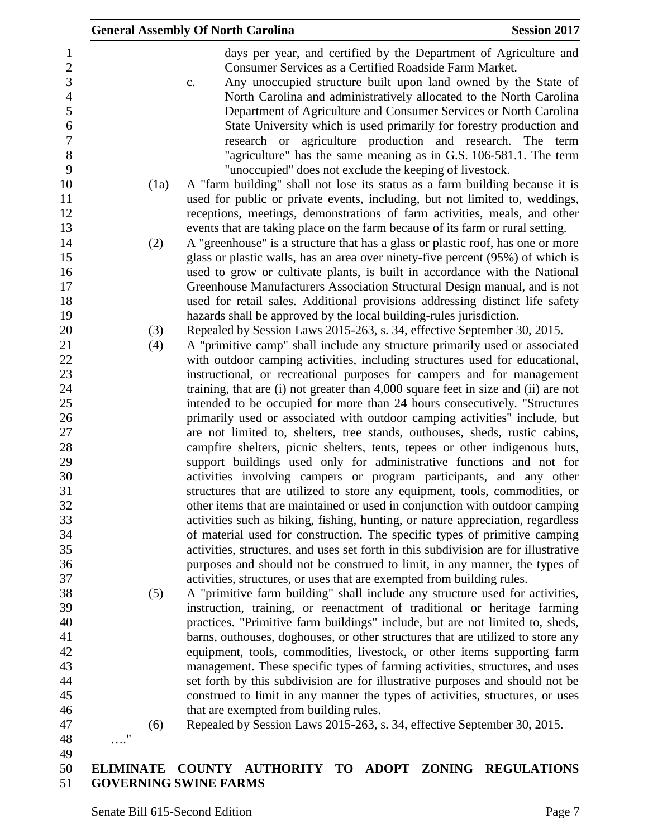|                          | <b>General Assembly Of North Carolina</b>                                              | <b>Session 2017</b> |
|--------------------------|----------------------------------------------------------------------------------------|---------------------|
|                          | days per year, and certified by the Department of Agriculture and                      |                     |
|                          | Consumer Services as a Certified Roadside Farm Market.                                 |                     |
|                          | Any unoccupied structure built upon land owned by the State of<br>c.                   |                     |
|                          | North Carolina and administratively allocated to the North Carolina                    |                     |
|                          | Department of Agriculture and Consumer Services or North Carolina                      |                     |
|                          |                                                                                        |                     |
|                          | State University which is used primarily for forestry production and                   |                     |
|                          | research or agriculture production and research. The term                              |                     |
|                          | "agriculture" has the same meaning as in G.S. 106-581.1. The term                      |                     |
|                          | "unoccupied" does not exclude the keeping of livestock.                                |                     |
| (1a)                     | A "farm building" shall not lose its status as a farm building because it is           |                     |
|                          | used for public or private events, including, but not limited to, weddings,            |                     |
|                          | receptions, meetings, demonstrations of farm activities, meals, and other              |                     |
|                          | events that are taking place on the farm because of its farm or rural setting.         |                     |
| (2)                      | A "greenhouse" is a structure that has a glass or plastic roof, has one or more        |                     |
|                          | glass or plastic walls, has an area over ninety-five percent (95%) of which is         |                     |
|                          | used to grow or cultivate plants, is built in accordance with the National             |                     |
|                          | Greenhouse Manufacturers Association Structural Design manual, and is not              |                     |
|                          | used for retail sales. Additional provisions addressing distinct life safety           |                     |
|                          | hazards shall be approved by the local building-rules jurisdiction.                    |                     |
| (3)                      | Repealed by Session Laws 2015-263, s. 34, effective September 30, 2015.                |                     |
| (4)                      | A "primitive camp" shall include any structure primarily used or associated            |                     |
|                          | with outdoor camping activities, including structures used for educational,            |                     |
|                          | instructional, or recreational purposes for campers and for management                 |                     |
|                          | training, that are (i) not greater than 4,000 square feet in size and (ii) are not     |                     |
|                          | intended to be occupied for more than 24 hours consecutively. "Structures              |                     |
|                          | primarily used or associated with outdoor camping activities" include, but             |                     |
|                          | are not limited to, shelters, tree stands, outhouses, sheds, rustic cabins,            |                     |
|                          | campfire shelters, picnic shelters, tents, tepees or other indigenous huts,            |                     |
|                          | support buildings used only for administrative functions and not for                   |                     |
|                          | activities involving campers or program participants, and any other                    |                     |
|                          | structures that are utilized to store any equipment, tools, commodities, or            |                     |
|                          | other items that are maintained or used in conjunction with outdoor camping            |                     |
|                          | activities such as hiking, fishing, hunting, or nature appreciation, regardless        |                     |
|                          | of material used for construction. The specific types of primitive camping             |                     |
|                          | activities, structures, and uses set forth in this subdivision are for illustrative    |                     |
|                          | purposes and should not be construed to limit, in any manner, the types of             |                     |
|                          | activities, structures, or uses that are exempted from building rules.                 |                     |
| (5)                      | A "primitive farm building" shall include any structure used for activities,           |                     |
|                          | instruction, training, or reenactment of traditional or heritage farming               |                     |
|                          | practices. "Primitive farm buildings" include, but are not limited to, sheds,          |                     |
|                          | barns, outhouses, doghouses, or other structures that are utilized to store any        |                     |
|                          | equipment, tools, commodities, livestock, or other items supporting farm               |                     |
|                          | management. These specific types of farming activities, structures, and uses           |                     |
|                          | set forth by this subdivision are for illustrative purposes and should not be          |                     |
|                          |                                                                                        |                     |
|                          | construed to limit in any manner the types of activities, structures, or uses          |                     |
|                          | that are exempted from building rules.                                                 |                     |
| (6)<br>$^{\prime\prime}$ | Repealed by Session Laws 2015-263, s. 34, effective September 30, 2015.                |                     |
|                          |                                                                                        |                     |
|                          |                                                                                        |                     |
|                          | ELIMINATE COUNTY AUTHORITY TO ADOPT ZONING REGULATIONS<br><b>GOVERNING SWINE FARMS</b> |                     |
|                          |                                                                                        |                     |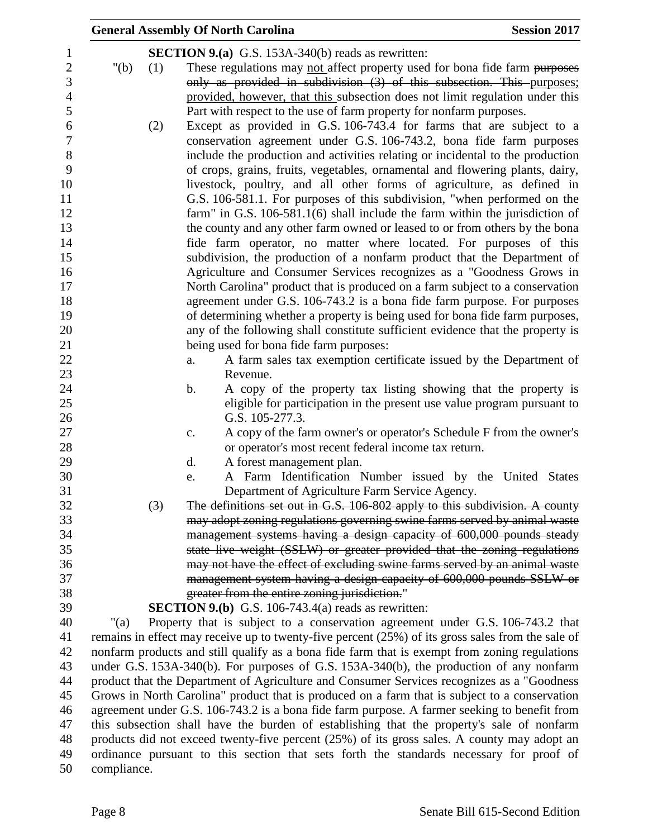|             |                  |               | <b>General Assembly Of North Carolina</b>                           | <b>Session 2017</b>                                                                               |
|-------------|------------------|---------------|---------------------------------------------------------------------|---------------------------------------------------------------------------------------------------|
|             |                  |               | <b>SECTION 9.(a)</b> G.S. 153A-340(b) reads as rewritten:           |                                                                                                   |
| " $(b)$     | (1)              |               |                                                                     | These regulations may not affect property used for bona fide farm purposes                        |
|             |                  |               |                                                                     | only as provided in subdivision (3) of this subsection. This purposes;                            |
|             |                  |               |                                                                     | provided, however, that this subsection does not limit regulation under this                      |
|             |                  |               | Part with respect to the use of farm property for nonfarm purposes. |                                                                                                   |
|             | (2)              |               |                                                                     | Except as provided in G.S. 106-743.4 for farms that are subject to a                              |
|             |                  |               |                                                                     | conservation agreement under G.S. 106-743.2, bona fide farm purposes                              |
|             |                  |               |                                                                     | include the production and activities relating or incidental to the production                    |
|             |                  |               |                                                                     | of crops, grains, fruits, vegetables, ornamental and flowering plants, dairy,                     |
|             |                  |               |                                                                     | livestock, poultry, and all other forms of agriculture, as defined in                             |
|             |                  |               |                                                                     | G.S. 106-581.1. For purposes of this subdivision, "when performed on the                          |
|             |                  |               |                                                                     | farm" in G.S. $106-581.1(6)$ shall include the farm within the jurisdiction of                    |
|             |                  |               |                                                                     | the county and any other farm owned or leased to or from others by the bona                       |
|             |                  |               |                                                                     | fide farm operator, no matter where located. For purposes of this                                 |
|             |                  |               |                                                                     | subdivision, the production of a nonfarm product that the Department of                           |
|             |                  |               |                                                                     | Agriculture and Consumer Services recognizes as a "Goodness Grows in                              |
|             |                  |               |                                                                     | North Carolina" product that is produced on a farm subject to a conservation                      |
|             |                  |               |                                                                     | agreement under G.S. 106-743.2 is a bona fide farm purpose. For purposes                          |
|             |                  |               |                                                                     | of determining whether a property is being used for bona fide farm purposes,                      |
|             |                  |               |                                                                     | any of the following shall constitute sufficient evidence that the property is                    |
|             |                  |               | being used for bona fide farm purposes:                             |                                                                                                   |
|             |                  | a.            |                                                                     | A farm sales tax exemption certificate issued by the Department of                                |
|             |                  |               | Revenue.                                                            |                                                                                                   |
|             |                  | $\mathbf b$ . |                                                                     | A copy of the property tax listing showing that the property is                                   |
|             |                  |               |                                                                     | eligible for participation in the present use value program pursuant to                           |
|             |                  |               | G.S. 105-277.3.                                                     |                                                                                                   |
|             |                  | c.            |                                                                     | A copy of the farm owner's or operator's Schedule F from the owner's                              |
|             |                  |               | or operator's most recent federal income tax return.                |                                                                                                   |
|             |                  | d.            | A forest management plan.                                           | A Farm Identification Number issued by the United States                                          |
|             |                  | e.            | Department of Agriculture Farm Service Agency.                      |                                                                                                   |
|             | $\left(3\right)$ |               |                                                                     | The definitions set out in G.S. 106-802 apply to this subdivision. A county                       |
|             |                  |               |                                                                     | may adopt zoning regulations governing swine farms served by animal waste                         |
|             |                  |               |                                                                     | management systems having a design capacity of 600,000 pounds steady                              |
|             |                  |               |                                                                     | state live weight (SSLW) or greater provided that the zoning regulations                          |
|             |                  |               |                                                                     | may not have the effect of excluding swine farms served by an animal waste                        |
|             |                  |               |                                                                     | management system having a design capacity of 600,000 pounds SSLW or                              |
|             |                  |               | greater from the entire zoning jurisdiction."                       |                                                                                                   |
|             |                  |               | <b>SECTION 9.(b)</b> G.S. 106-743.4(a) reads as rewritten:          |                                                                                                   |
| "(a)        |                  |               |                                                                     | Property that is subject to a conservation agreement under G.S. 106-743.2 that                    |
|             |                  |               |                                                                     | remains in effect may receive up to twenty-five percent (25%) of its gross sales from the sale of |
|             |                  |               |                                                                     | nonfarm products and still qualify as a bona fide farm that is exempt from zoning regulations     |
|             |                  |               |                                                                     | under G.S. 153A-340(b). For purposes of G.S. 153A-340(b), the production of any nonfarm           |
|             |                  |               |                                                                     | product that the Department of Agriculture and Consumer Services recognizes as a "Goodness"       |
|             |                  |               |                                                                     | Grows in North Carolina" product that is produced on a farm that is subject to a conservation     |
|             |                  |               |                                                                     | agreement under G.S. 106-743.2 is a bona fide farm purpose. A farmer seeking to benefit from      |
|             |                  |               |                                                                     | this subsection shall have the burden of establishing that the property's sale of nonfarm         |
|             |                  |               |                                                                     | products did not exceed twenty-five percent (25%) of its gross sales. A county may adopt an       |
|             |                  |               |                                                                     | ordinance pursuant to this section that sets forth the standards necessary for proof of           |
| compliance. |                  |               |                                                                     |                                                                                                   |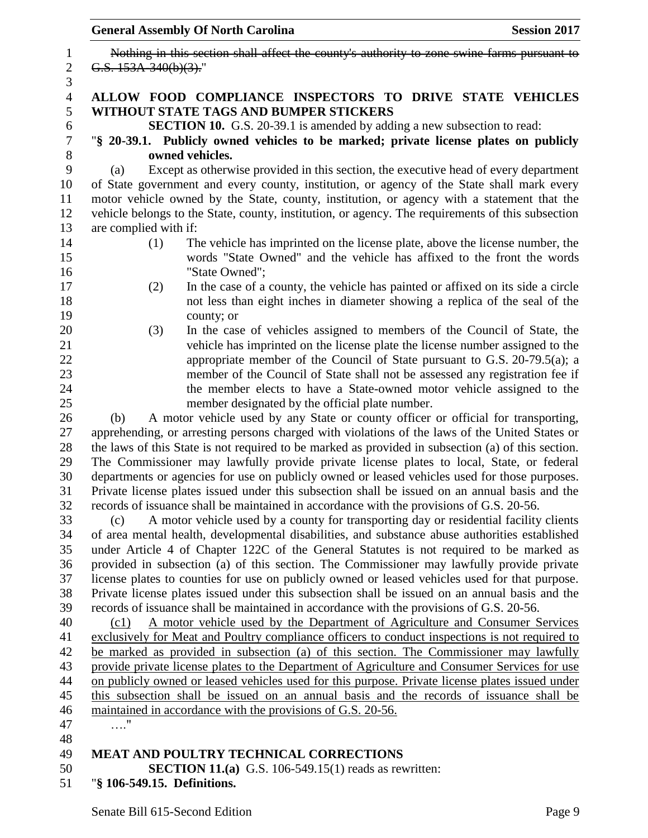| $\mathbf{1}$     | Nothing in this section shall affect the county's authority to zone swine farms pursuant to                                                                                                |  |  |  |  |  |  |  |
|------------------|--------------------------------------------------------------------------------------------------------------------------------------------------------------------------------------------|--|--|--|--|--|--|--|
| $\overline{2}$   | $G.S. 153A-340(b)(3)$ ."                                                                                                                                                                   |  |  |  |  |  |  |  |
| 3                |                                                                                                                                                                                            |  |  |  |  |  |  |  |
| $\overline{4}$   | ALLOW FOOD COMPLIANCE INSPECTORS TO DRIVE STATE VEHICLES                                                                                                                                   |  |  |  |  |  |  |  |
| 5                | WITHOUT STATE TAGS AND BUMPER STICKERS                                                                                                                                                     |  |  |  |  |  |  |  |
| $\boldsymbol{6}$ | <b>SECTION 10.</b> G.S. 20-39.1 is amended by adding a new subsection to read:                                                                                                             |  |  |  |  |  |  |  |
| $\boldsymbol{7}$ | "\\$ 20-39.1. Publicly owned vehicles to be marked; private license plates on publicly                                                                                                     |  |  |  |  |  |  |  |
| $8\,$            | owned vehicles.                                                                                                                                                                            |  |  |  |  |  |  |  |
| 9                | Except as otherwise provided in this section, the executive head of every department<br>(a)                                                                                                |  |  |  |  |  |  |  |
| 10               | of State government and every county, institution, or agency of the State shall mark every                                                                                                 |  |  |  |  |  |  |  |
| 11               | motor vehicle owned by the State, county, institution, or agency with a statement that the                                                                                                 |  |  |  |  |  |  |  |
| 12               | vehicle belongs to the State, county, institution, or agency. The requirements of this subsection                                                                                          |  |  |  |  |  |  |  |
| 13               | are complied with if:                                                                                                                                                                      |  |  |  |  |  |  |  |
| 14               | The vehicle has imprinted on the license plate, above the license number, the<br>(1)                                                                                                       |  |  |  |  |  |  |  |
| 15               | words "State Owned" and the vehicle has affixed to the front the words                                                                                                                     |  |  |  |  |  |  |  |
| 16               | "State Owned";                                                                                                                                                                             |  |  |  |  |  |  |  |
| 17               | In the case of a county, the vehicle has painted or affixed on its side a circle<br>(2)                                                                                                    |  |  |  |  |  |  |  |
| 18               | not less than eight inches in diameter showing a replica of the seal of the                                                                                                                |  |  |  |  |  |  |  |
| 19               | county; or                                                                                                                                                                                 |  |  |  |  |  |  |  |
| 20               | (3)<br>In the case of vehicles assigned to members of the Council of State, the                                                                                                            |  |  |  |  |  |  |  |
| 21               | vehicle has imprinted on the license plate the license number assigned to the                                                                                                              |  |  |  |  |  |  |  |
| 22               | appropriate member of the Council of State pursuant to G.S. 20-79.5(a); a                                                                                                                  |  |  |  |  |  |  |  |
| 23               | member of the Council of State shall not be assessed any registration fee if                                                                                                               |  |  |  |  |  |  |  |
| 24               | the member elects to have a State-owned motor vehicle assigned to the                                                                                                                      |  |  |  |  |  |  |  |
| 25               | member designated by the official plate number.                                                                                                                                            |  |  |  |  |  |  |  |
| 26               | A motor vehicle used by any State or county officer or official for transporting,<br>(b)                                                                                                   |  |  |  |  |  |  |  |
| 27               | apprehending, or arresting persons charged with violations of the laws of the United States or                                                                                             |  |  |  |  |  |  |  |
| 28               | the laws of this State is not required to be marked as provided in subsection (a) of this section.                                                                                         |  |  |  |  |  |  |  |
| 29               | The Commissioner may lawfully provide private license plates to local, State, or federal                                                                                                   |  |  |  |  |  |  |  |
| 30               | departments or agencies for use on publicly owned or leased vehicles used for those purposes.                                                                                              |  |  |  |  |  |  |  |
| 31<br>32         | Private license plates issued under this subsection shall be issued on an annual basis and the<br>records of issuance shall be maintained in accordance with the provisions of G.S. 20-56. |  |  |  |  |  |  |  |
| 33               | (c) A motor vehicle used by a county for transporting day or residential facility clients                                                                                                  |  |  |  |  |  |  |  |
| 34               | of area mental health, developmental disabilities, and substance abuse authorities established                                                                                             |  |  |  |  |  |  |  |
| 35               | under Article 4 of Chapter 122C of the General Statutes is not required to be marked as                                                                                                    |  |  |  |  |  |  |  |
| 36               | provided in subsection (a) of this section. The Commissioner may lawfully provide private                                                                                                  |  |  |  |  |  |  |  |
| 37               | license plates to counties for use on publicly owned or leased vehicles used for that purpose.                                                                                             |  |  |  |  |  |  |  |
| 38               | Private license plates issued under this subsection shall be issued on an annual basis and the                                                                                             |  |  |  |  |  |  |  |
| 39               | records of issuance shall be maintained in accordance with the provisions of G.S. 20-56.                                                                                                   |  |  |  |  |  |  |  |
| 40               | A motor vehicle used by the Department of Agriculture and Consumer Services<br>(c1)                                                                                                        |  |  |  |  |  |  |  |
| 41               | exclusively for Meat and Poultry compliance officers to conduct inspections is not required to                                                                                             |  |  |  |  |  |  |  |
| 42               | be marked as provided in subsection (a) of this section. The Commissioner may lawfully                                                                                                     |  |  |  |  |  |  |  |
| 43               | provide private license plates to the Department of Agriculture and Consumer Services for use                                                                                              |  |  |  |  |  |  |  |
| 44               | on publicly owned or leased vehicles used for this purpose. Private license plates issued under                                                                                            |  |  |  |  |  |  |  |
| 45               | this subsection shall be issued on an annual basis and the records of issuance shall be                                                                                                    |  |  |  |  |  |  |  |
| 46               | maintained in accordance with the provisions of G.S. 20-56.                                                                                                                                |  |  |  |  |  |  |  |
| 47               | . '                                                                                                                                                                                        |  |  |  |  |  |  |  |
| 48               |                                                                                                                                                                                            |  |  |  |  |  |  |  |
| 49               | MEAT AND POULTRY TECHNICAL CORRECTIONS                                                                                                                                                     |  |  |  |  |  |  |  |

- **SECTION 11.(a)** G.S. 106-549.15(1) reads as rewritten:
- "**§ 106-549.15. Definitions.**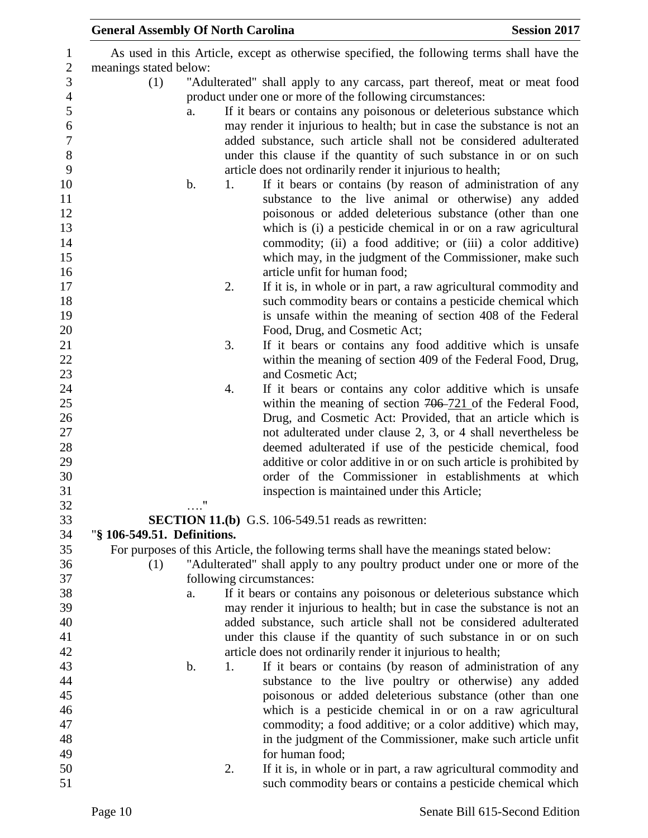| <b>General Assembly Of North Carolina</b> |    |                                                                                            | <b>Session 2017</b> |
|-------------------------------------------|----|--------------------------------------------------------------------------------------------|---------------------|
| meanings stated below:                    |    | As used in this Article, except as otherwise specified, the following terms shall have the |                     |
| (1)                                       |    | "Adulterated" shall apply to any carcass, part thereof, meat or meat food                  |                     |
|                                           |    | product under one or more of the following circumstances:                                  |                     |
| a.                                        |    | If it bears or contains any poisonous or deleterious substance which                       |                     |
|                                           |    | may render it injurious to health; but in case the substance is not an                     |                     |
|                                           |    | added substance, such article shall not be considered adulterated                          |                     |
|                                           |    | under this clause if the quantity of such substance in or on such                          |                     |
|                                           |    | article does not ordinarily render it injurious to health;                                 |                     |
| b.                                        | 1. | If it bears or contains (by reason of administration of any                                |                     |
|                                           |    | substance to the live animal or otherwise) any added                                       |                     |
|                                           |    | poisonous or added deleterious substance (other than one                                   |                     |
|                                           |    | which is (i) a pesticide chemical in or on a raw agricultural                              |                     |
|                                           |    | commodity; (ii) a food additive; or (iii) a color additive)                                |                     |
|                                           |    | which may, in the judgment of the Commissioner, make such                                  |                     |
|                                           |    | article unfit for human food;                                                              |                     |
|                                           | 2. | If it is, in whole or in part, a raw agricultural commodity and                            |                     |
|                                           |    | such commodity bears or contains a pesticide chemical which                                |                     |
|                                           |    | is unsafe within the meaning of section 408 of the Federal                                 |                     |
|                                           |    | Food, Drug, and Cosmetic Act;                                                              |                     |
|                                           | 3. | If it bears or contains any food additive which is unsafe                                  |                     |
|                                           |    | within the meaning of section 409 of the Federal Food, Drug,                               |                     |
|                                           |    | and Cosmetic Act;                                                                          |                     |
|                                           | 4. | If it bears or contains any color additive which is unsafe                                 |                     |
|                                           |    | within the meaning of section $706 - 721$ of the Federal Food,                             |                     |
|                                           |    | Drug, and Cosmetic Act: Provided, that an article which is                                 |                     |
|                                           |    | not adulterated under clause 2, 3, or 4 shall nevertheless be                              |                     |
|                                           |    | deemed adulterated if use of the pesticide chemical, food                                  |                     |
|                                           |    | additive or color additive in or on such article is prohibited by                          |                     |
|                                           |    | order of the Commissioner in establishments at which                                       |                     |
|                                           |    | inspection is maintained under this Article;                                               |                     |
|                                           |    |                                                                                            |                     |
| "§ 106-549.51. Definitions.               |    | <b>SECTION 11.(b)</b> G.S. 106-549.51 reads as rewritten:                                  |                     |
|                                           |    | For purposes of this Article, the following terms shall have the meanings stated below:    |                     |
| (1)                                       |    | "Adulterated" shall apply to any poultry product under one or more of the                  |                     |
|                                           |    | following circumstances:                                                                   |                     |
| a.                                        |    | If it bears or contains any poisonous or deleterious substance which                       |                     |
|                                           |    | may render it injurious to health; but in case the substance is not an                     |                     |
|                                           |    | added substance, such article shall not be considered adulterated                          |                     |
|                                           |    | under this clause if the quantity of such substance in or on such                          |                     |
|                                           |    | article does not ordinarily render it injurious to health;                                 |                     |
| b.                                        | 1. | If it bears or contains (by reason of administration of any                                |                     |
|                                           |    | substance to the live poultry or otherwise) any added                                      |                     |
|                                           |    | poisonous or added deleterious substance (other than one                                   |                     |
|                                           |    | which is a pesticide chemical in or on a raw agricultural                                  |                     |
|                                           |    | commodity; a food additive; or a color additive) which may,                                |                     |
|                                           |    | in the judgment of the Commissioner, make such article unfit                               |                     |
|                                           |    | for human food;                                                                            |                     |
|                                           | 2. | If it is, in whole or in part, a raw agricultural commodity and                            |                     |
|                                           |    | such commodity bears or contains a pesticide chemical which                                |                     |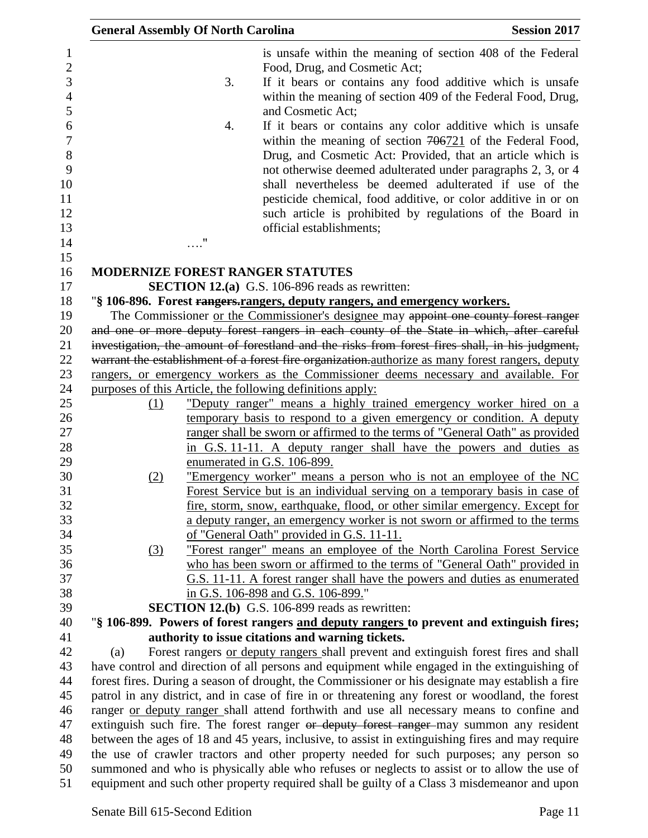|     | <b>General Assembly Of North Carolina</b> |                                                                            | <b>Session 2017</b>                                                                                                                                                                    |
|-----|-------------------------------------------|----------------------------------------------------------------------------|----------------------------------------------------------------------------------------------------------------------------------------------------------------------------------------|
|     |                                           |                                                                            | is unsafe within the meaning of section 408 of the Federal                                                                                                                             |
|     |                                           | Food, Drug, and Cosmetic Act;                                              |                                                                                                                                                                                        |
|     | 3.                                        |                                                                            | If it bears or contains any food additive which is unsafe                                                                                                                              |
|     |                                           |                                                                            | within the meaning of section 409 of the Federal Food, Drug,                                                                                                                           |
|     |                                           | and Cosmetic Act;                                                          |                                                                                                                                                                                        |
|     | 4.                                        |                                                                            | If it bears or contains any color additive which is unsafe                                                                                                                             |
|     |                                           |                                                                            | within the meaning of section $706721$ of the Federal Food,                                                                                                                            |
|     |                                           |                                                                            | Drug, and Cosmetic Act: Provided, that an article which is                                                                                                                             |
|     |                                           |                                                                            | not otherwise deemed adulterated under paragraphs 2, 3, or 4                                                                                                                           |
|     |                                           |                                                                            | shall nevertheless be deemed adulterated if use of the                                                                                                                                 |
|     |                                           |                                                                            | pesticide chemical, food additive, or color additive in or on                                                                                                                          |
|     |                                           |                                                                            | such article is prohibited by regulations of the Board in                                                                                                                              |
|     | 11                                        | official establishments;                                                   |                                                                                                                                                                                        |
|     |                                           |                                                                            |                                                                                                                                                                                        |
|     |                                           | <b>MODERNIZE FOREST RANGER STATUTES</b>                                    |                                                                                                                                                                                        |
|     |                                           | <b>SECTION 12.(a)</b> G.S. 106-896 reads as rewritten:                     |                                                                                                                                                                                        |
|     |                                           | "§ 106-896. Forest rangers-rangers, deputy rangers, and emergency workers. |                                                                                                                                                                                        |
|     |                                           |                                                                            | The Commissioner or the Commissioner's designee may appoint one county forest ranger                                                                                                   |
|     |                                           |                                                                            | and one or more deputy forest rangers in each county of the State in which, after careful                                                                                              |
|     |                                           |                                                                            | investigation, the amount of forestland and the risks from forest fires shall, in his judgment,                                                                                        |
|     |                                           |                                                                            | warrant the establishment of a forest fire organization authorize as many forest rangers, deputy                                                                                       |
|     |                                           |                                                                            | rangers, or emergency workers as the Commissioner deems necessary and available. For                                                                                                   |
|     |                                           | purposes of this Article, the following definitions apply:                 |                                                                                                                                                                                        |
| (1) |                                           |                                                                            | "Deputy ranger" means a highly trained emergency worker hired on a                                                                                                                     |
|     |                                           |                                                                            | temporary basis to respond to a given emergency or condition. A deputy                                                                                                                 |
|     |                                           |                                                                            | ranger shall be sworn or affirmed to the terms of "General Oath" as provided                                                                                                           |
|     |                                           |                                                                            | in G.S. 11-11. A deputy ranger shall have the powers and duties as                                                                                                                     |
| (2) |                                           | enumerated in G.S. 106-899.                                                | "Emergency worker" means a person who is not an employee of the NC                                                                                                                     |
|     |                                           |                                                                            | Forest Service but is an individual serving on a temporary basis in case of                                                                                                            |
|     |                                           |                                                                            | fire, storm, snow, earthquake, flood, or other similar emergency. Except for                                                                                                           |
|     |                                           |                                                                            | a deputy ranger, an emergency worker is not sworn or affirmed to the terms                                                                                                             |
|     |                                           | of "General Oath" provided in G.S. 11-11.                                  |                                                                                                                                                                                        |
| (3) |                                           |                                                                            | "Forest ranger" means an employee of the North Carolina Forest Service                                                                                                                 |
|     |                                           |                                                                            | who has been sworn or affirmed to the terms of "General Oath" provided in                                                                                                              |
|     |                                           |                                                                            | G.S. 11-11. A forest ranger shall have the powers and duties as enumerated                                                                                                             |
|     |                                           | in G.S. 106-898 and G.S. 106-899."                                         |                                                                                                                                                                                        |
|     |                                           | <b>SECTION 12.(b)</b> G.S. 106-899 reads as rewritten:                     |                                                                                                                                                                                        |
|     |                                           |                                                                            | "§ 106-899. Powers of forest rangers and deputy rangers to prevent and extinguish fires;                                                                                               |
|     |                                           | authority to issue citations and warning tickets.                          |                                                                                                                                                                                        |
| (a) |                                           |                                                                            | Forest rangers or deputy rangers shall prevent and extinguish forest fires and shall                                                                                                   |
|     |                                           |                                                                            | have control and direction of all persons and equipment while engaged in the extinguishing of                                                                                          |
|     |                                           |                                                                            | forest fires. During a season of drought, the Commissioner or his designate may establish a fire                                                                                       |
|     |                                           |                                                                            | patrol in any district, and in case of fire in or threatening any forest or woodland, the forest                                                                                       |
|     |                                           |                                                                            | ranger or deputy ranger shall attend forthwith and use all necessary means to confine and                                                                                              |
|     |                                           |                                                                            | extinguish such fire. The forest ranger or deputy forest ranger may summon any resident                                                                                                |
|     |                                           |                                                                            | between the ages of 18 and 45 years, inclusive, to assist in extinguishing fires and may require                                                                                       |
|     |                                           |                                                                            | the use of crawler tractors and other property needed for such purposes; any person so<br>summoned and who is physically able who refuses or neglects to assist or to allow the use of |
|     |                                           |                                                                            | equipment and such other property required shall be guilty of a Class 3 misdemeanor and upon                                                                                           |
|     |                                           |                                                                            |                                                                                                                                                                                        |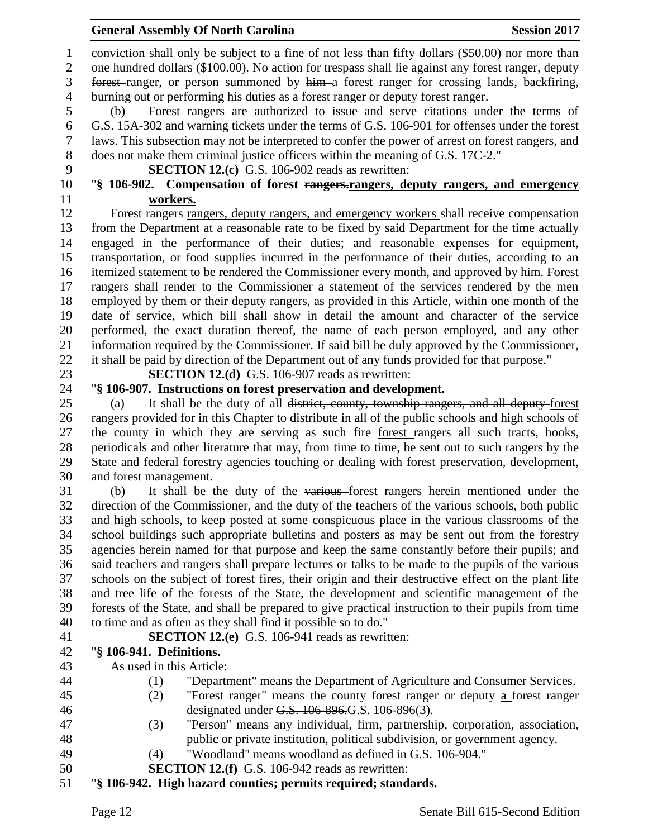conviction shall only be subject to a fine of not less than fifty dollars (\$50.00) nor more than 2 one hundred dollars (\$100.00). No action for trespass shall lie against any forest ranger, deputy forest ranger, or person summoned by him a forest ranger for crossing lands, backfiring, burning out or performing his duties as a forest ranger or deputy forest ranger.

 (b) Forest rangers are authorized to issue and serve citations under the terms of G.S. 15A-302 and warning tickets under the terms of G.S. 106-901 for offenses under the forest laws. This subsection may not be interpreted to confer the power of arrest on forest rangers, and does not make them criminal justice officers within the meaning of G.S. 17C-2."

**SECTION 12.(c)** G.S. 106-902 reads as rewritten:

### "**§ 106-902. Compensation of forest rangers.rangers, deputy rangers, and emergency workers.**

12 Forest rangers-rangers, deputy rangers, and emergency workers shall receive compensation from the Department at a reasonable rate to be fixed by said Department for the time actually engaged in the performance of their duties; and reasonable expenses for equipment, transportation, or food supplies incurred in the performance of their duties, according to an itemized statement to be rendered the Commissioner every month, and approved by him. Forest rangers shall render to the Commissioner a statement of the services rendered by the men employed by them or their deputy rangers, as provided in this Article, within one month of the date of service, which bill shall show in detail the amount and character of the service performed, the exact duration thereof, the name of each person employed, and any other information required by the Commissioner. If said bill be duly approved by the Commissioner, it shall be paid by direction of the Department out of any funds provided for that purpose."

**SECTION 12.(d)** G.S. 106-907 reads as rewritten:

### "**§ 106-907. Instructions on forest preservation and development.**

 (a) It shall be the duty of all district, county, township rangers, and all deputy forest rangers provided for in this Chapter to distribute in all of the public schools and high schools of 27 the county in which they are serving as such fire forest rangers all such tracts, books, periodicals and other literature that may, from time to time, be sent out to such rangers by the State and federal forestry agencies touching or dealing with forest preservation, development, and forest management.

 (b) It shall be the duty of the various forest rangers herein mentioned under the direction of the Commissioner, and the duty of the teachers of the various schools, both public and high schools, to keep posted at some conspicuous place in the various classrooms of the school buildings such appropriate bulletins and posters as may be sent out from the forestry agencies herein named for that purpose and keep the same constantly before their pupils; and said teachers and rangers shall prepare lectures or talks to be made to the pupils of the various schools on the subject of forest fires, their origin and their destructive effect on the plant life and tree life of the forests of the State, the development and scientific management of the forests of the State, and shall be prepared to give practical instruction to their pupils from time to time and as often as they shall find it possible so to do."

### **SECTION 12.(e)** G.S. 106-941 reads as rewritten:

### "**§ 106-941. Definitions.**

As used in this Article:

- (1) "Department" means the Department of Agriculture and Consumer Services.
- 45 (2) "Forest ranger" means the county forest ranger or deputy a forest ranger
- designated under G.S. 106-896.G.S. 106-896(3).
- 
- (3) "Person" means any individual, firm, partnership, corporation, association, public or private institution, political subdivision, or government agency.
- (4) "Woodland" means woodland as defined in G.S. 106-904."
- **SECTION 12.(f)** G.S. 106-942 reads as rewritten:
- "**§ 106-942. High hazard counties; permits required; standards.**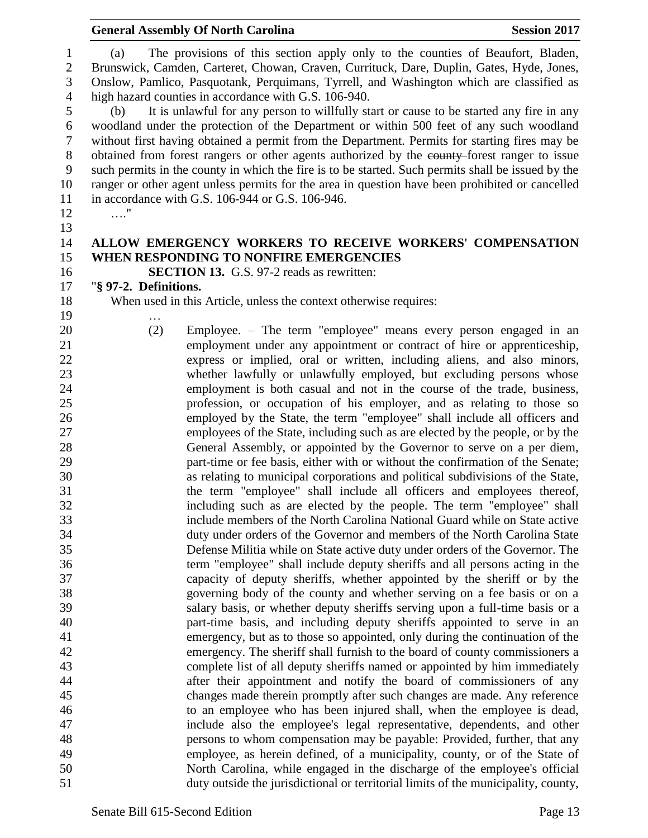(a) The provisions of this section apply only to the counties of Beaufort, Bladen, Brunswick, Camden, Carteret, Chowan, Craven, Currituck, Dare, Duplin, Gates, Hyde, Jones, Onslow, Pamlico, Pasquotank, Perquimans, Tyrrell, and Washington which are classified as high hazard counties in accordance with G.S. 106-940.

 (b) It is unlawful for any person to willfully start or cause to be started any fire in any woodland under the protection of the Department or within 500 feet of any such woodland without first having obtained a permit from the Department. Permits for starting fires may be 8 obtained from forest rangers or other agents authorized by the example forest ranger to issue such permits in the county in which the fire is to be started. Such permits shall be issued by the ranger or other agent unless permits for the area in question have been prohibited or cancelled in accordance with G.S. 106-944 or G.S. 106-946. …."

### **ALLOW EMERGENCY WORKERS TO RECEIVE WORKERS' COMPENSATION WHEN RESPONDING TO NONFIRE EMERGENCIES**

**SECTION 13.** G.S. 97-2 reads as rewritten:

"**§ 97-2. Definitions.**

 When used in this Article, unless the context otherwise requires: …

 (2) Employee. – The term "employee" means every person engaged in an employment under any appointment or contract of hire or apprenticeship, express or implied, oral or written, including aliens, and also minors, whether lawfully or unlawfully employed, but excluding persons whose employment is both casual and not in the course of the trade, business, profession, or occupation of his employer, and as relating to those so employed by the State, the term "employee" shall include all officers and employees of the State, including such as are elected by the people, or by the General Assembly, or appointed by the Governor to serve on a per diem, part-time or fee basis, either with or without the confirmation of the Senate; as relating to municipal corporations and political subdivisions of the State, the term "employee" shall include all officers and employees thereof, including such as are elected by the people. The term "employee" shall include members of the North Carolina National Guard while on State active duty under orders of the Governor and members of the North Carolina State Defense Militia while on State active duty under orders of the Governor. The term "employee" shall include deputy sheriffs and all persons acting in the capacity of deputy sheriffs, whether appointed by the sheriff or by the governing body of the county and whether serving on a fee basis or on a salary basis, or whether deputy sheriffs serving upon a full-time basis or a part-time basis, and including deputy sheriffs appointed to serve in an emergency, but as to those so appointed, only during the continuation of the emergency. The sheriff shall furnish to the board of county commissioners a complete list of all deputy sheriffs named or appointed by him immediately after their appointment and notify the board of commissioners of any changes made therein promptly after such changes are made. Any reference to an employee who has been injured shall, when the employee is dead, include also the employee's legal representative, dependents, and other persons to whom compensation may be payable: Provided, further, that any employee, as herein defined, of a municipality, county, or of the State of North Carolina, while engaged in the discharge of the employee's official duty outside the jurisdictional or territorial limits of the municipality, county,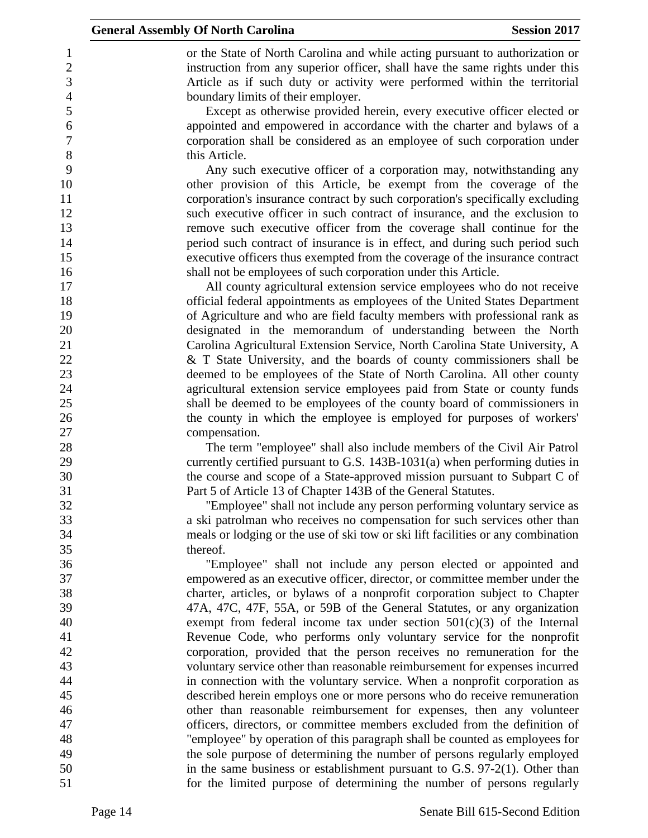or the State of North Carolina and while acting pursuant to authorization or instruction from any superior officer, shall have the same rights under this Article as if such duty or activity were performed within the territorial boundary limits of their employer. Except as otherwise provided herein, every executive officer elected or appointed and empowered in accordance with the charter and bylaws of a corporation shall be considered as an employee of such corporation under 8 this Article. Any such executive officer of a corporation may, notwithstanding any other provision of this Article, be exempt from the coverage of the corporation's insurance contract by such corporation's specifically excluding such executive officer in such contract of insurance, and the exclusion to remove such executive officer from the coverage shall continue for the period such contract of insurance is in effect, and during such period such executive officers thus exempted from the coverage of the insurance contract shall not be employees of such corporation under this Article. All county agricultural extension service employees who do not receive official federal appointments as employees of the United States Department of Agriculture and who are field faculty members with professional rank as designated in the memorandum of understanding between the North Carolina Agricultural Extension Service, North Carolina State University, A **8. Accord Accord Accord Accord Accord Accord Accord Accord Accord Accord Accord Accord Accord Accord Accord Accord Accord Accord Accord Accord Accord Accord Accord Accord Accord Accord Accord Accord Accord Accord Accor**  deemed to be employees of the State of North Carolina. All other county agricultural extension service employees paid from State or county funds shall be deemed to be employees of the county board of commissioners in the county in which the employee is employed for purposes of workers' compensation. The term "employee" shall also include members of the Civil Air Patrol currently certified pursuant to G.S. 143B-1031(a) when performing duties in the course and scope of a State-approved mission pursuant to Subpart C of Part 5 of Article 13 of Chapter 143B of the General Statutes. "Employee" shall not include any person performing voluntary service as a ski patrolman who receives no compensation for such services other than meals or lodging or the use of ski tow or ski lift facilities or any combination thereof. "Employee" shall not include any person elected or appointed and empowered as an executive officer, director, or committee member under the charter, articles, or bylaws of a nonprofit corporation subject to Chapter 47A, 47C, 47F, 55A, or 59B of the General Statutes, or any organization exempt from federal income tax under section 501(c)(3) of the Internal Revenue Code, who performs only voluntary service for the nonprofit corporation, provided that the person receives no remuneration for the voluntary service other than reasonable reimbursement for expenses incurred in connection with the voluntary service. When a nonprofit corporation as described herein employs one or more persons who do receive remuneration other than reasonable reimbursement for expenses, then any volunteer officers, directors, or committee members excluded from the definition of "employee" by operation of this paragraph shall be counted as employees for the sole purpose of determining the number of persons regularly employed in the same business or establishment pursuant to G.S. 97-2(1). Other than for the limited purpose of determining the number of persons regularly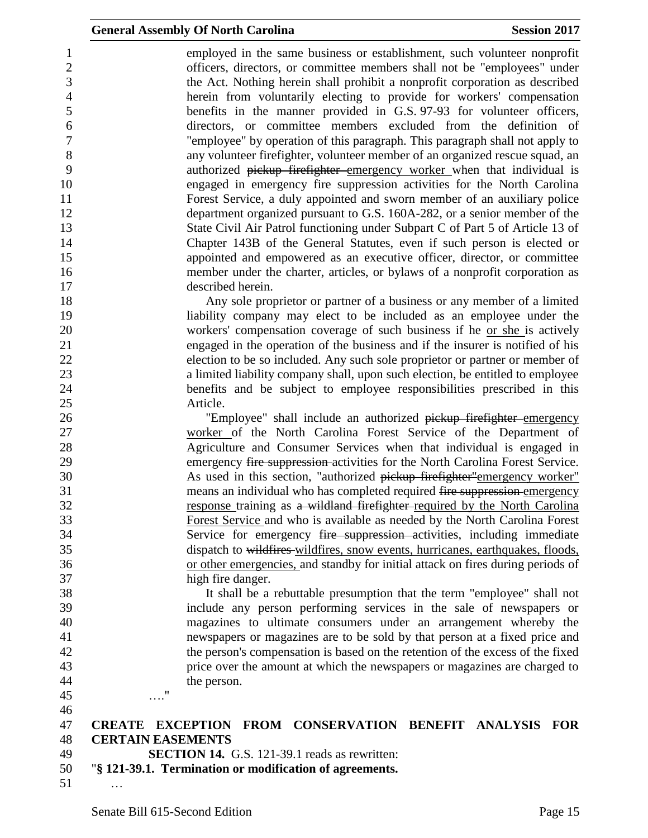employed in the same business or establishment, such volunteer nonprofit officers, directors, or committee members shall not be "employees" under the Act. Nothing herein shall prohibit a nonprofit corporation as described herein from voluntarily electing to provide for workers' compensation benefits in the manner provided in G.S. 97-93 for volunteer officers, 6 directors, or committee members excluded from the definition of T<br>Temployee'' by operation of this paragraph. This paragraph shall not apply to "employee" by operation of this paragraph. This paragraph shall not apply to any volunteer firefighter, volunteer member of an organized rescue squad, an authorized pickup firefighter emergency worker when that individual is engaged in emergency fire suppression activities for the North Carolina Forest Service, a duly appointed and sworn member of an auxiliary police department organized pursuant to G.S. 160A-282, or a senior member of the State Civil Air Patrol functioning under Subpart C of Part 5 of Article 13 of Chapter 143B of the General Statutes, even if such person is elected or appointed and empowered as an executive officer, director, or committee member under the charter, articles, or bylaws of a nonprofit corporation as described herein.

 Any sole proprietor or partner of a business or any member of a limited liability company may elect to be included as an employee under the workers' compensation coverage of such business if he or she is actively engaged in the operation of the business and if the insurer is notified of his election to be so included. Any such sole proprietor or partner or member of a limited liability company shall, upon such election, be entitled to employee benefits and be subject to employee responsibilities prescribed in this Article.

26 "Employee" shall include an authorized pickup firefighter emergency worker of the North Carolina Forest Service of the Department of Agriculture and Consumer Services when that individual is engaged in 29 emergency fire suppression-activities for the North Carolina Forest Service. 30 As used in this section, "authorized pickup firefighter" emergency worker" 31 means an individual who has completed required fire suppression emergency response training as a wildland firefighter required by the North Carolina Forest Service and who is available as needed by the North Carolina Forest 34 Service for emergency fire suppression activities, including immediate dispatch to wildfires wildfires, snow events, hurricanes, earthquakes, floods, or other emergencies, and standby for initial attack on fires during periods of high fire danger.

 It shall be a rebuttable presumption that the term "employee" shall not include any person performing services in the sale of newspapers or magazines to ultimate consumers under an arrangement whereby the newspapers or magazines are to be sold by that person at a fixed price and the person's compensation is based on the retention of the excess of the fixed price over the amount at which the newspapers or magazines are charged to the person.

 …." 

 **CREATE EXCEPTION FROM CONSERVATION BENEFIT ANALYSIS FOR CERTAIN EASEMENTS**

- **SECTION 14.** G.S. 121-39.1 reads as rewritten:
- "**§ 121-39.1. Termination or modification of agreements.**
- …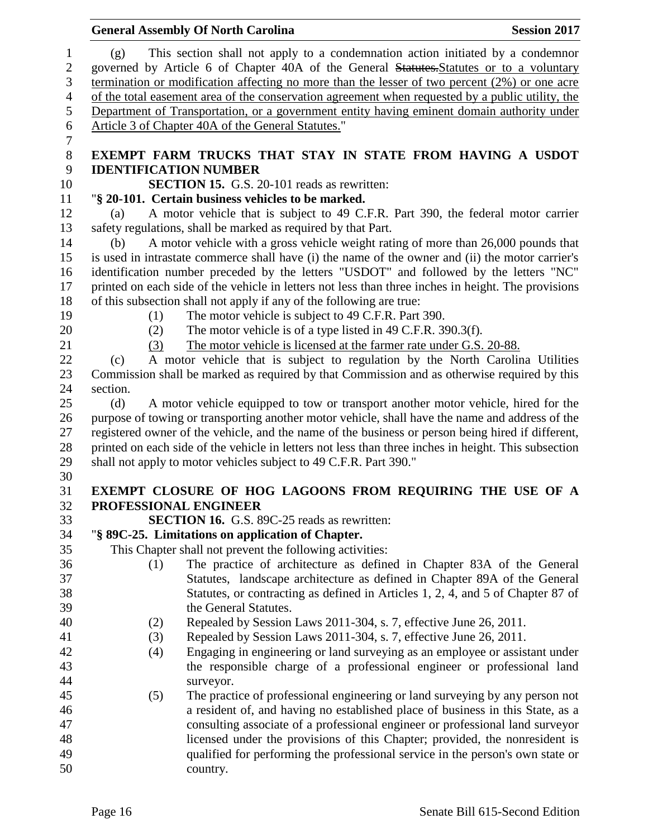|          |     | <b>General Assembly Of North Carolina</b>                                                            | <b>Session 2017</b> |
|----------|-----|------------------------------------------------------------------------------------------------------|---------------------|
| (g)      |     | This section shall not apply to a condemnation action initiated by a condemnor                       |                     |
|          |     | governed by Article 6 of Chapter 40A of the General Statutes. Statutes or to a voluntary             |                     |
|          |     | termination or modification affecting no more than the lesser of two percent (2%) or one acre        |                     |
|          |     | of the total easement area of the conservation agreement when requested by a public utility, the     |                     |
|          |     | Department of Transportation, or a government entity having eminent domain authority under           |                     |
|          |     | Article 3 of Chapter 40A of the General Statutes."                                                   |                     |
|          |     | EXEMPT FARM TRUCKS THAT STAY IN STATE FROM HAVING A USDOT                                            |                     |
|          |     | <b>IDENTIFICATION NUMBER</b>                                                                         |                     |
|          |     | <b>SECTION 15.</b> G.S. 20-101 reads as rewritten:                                                   |                     |
|          |     | "§ 20-101. Certain business vehicles to be marked.                                                   |                     |
| (a)      |     | A motor vehicle that is subject to 49 C.F.R. Part 390, the federal motor carrier                     |                     |
|          |     | safety regulations, shall be marked as required by that Part.                                        |                     |
| (b)      |     | A motor vehicle with a gross vehicle weight rating of more than 26,000 pounds that                   |                     |
|          |     | is used in intrastate commerce shall have (i) the name of the owner and (ii) the motor carrier's     |                     |
|          |     | identification number preceded by the letters "USDOT" and followed by the letters "NC"               |                     |
|          |     | printed on each side of the vehicle in letters not less than three inches in height. The provisions  |                     |
|          |     | of this subsection shall not apply if any of the following are true:                                 |                     |
|          | (1) | The motor vehicle is subject to 49 C.F.R. Part 390.                                                  |                     |
|          | (2) | The motor vehicle is of a type listed in 49 C.F.R. 390.3(f).                                         |                     |
|          | (3) | The motor vehicle is licensed at the farmer rate under G.S. 20-88.                                   |                     |
| (c)      |     | A motor vehicle that is subject to regulation by the North Carolina Utilities                        |                     |
|          |     | Commission shall be marked as required by that Commission and as otherwise required by this          |                     |
| section. |     |                                                                                                      |                     |
| (d)      |     | A motor vehicle equipped to tow or transport another motor vehicle, hired for the                    |                     |
|          |     | purpose of towing or transporting another motor vehicle, shall have the name and address of the      |                     |
|          |     | registered owner of the vehicle, and the name of the business or person being hired if different,    |                     |
|          |     |                                                                                                      |                     |
|          |     | printed on each side of the vehicle in letters not less than three inches in height. This subsection |                     |
|          |     | shall not apply to motor vehicles subject to 49 C.F.R. Part 390."                                    |                     |
|          |     |                                                                                                      |                     |
|          |     | EXEMPT CLOSURE OF HOG LAGOONS FROM REQUIRING THE USE OF A                                            |                     |
|          |     | PROFESSIONAL ENGINEER<br><b>SECTION 16.</b> G.S. 89C-25 reads as rewritten:                          |                     |
|          |     | "§ 89C-25. Limitations on application of Chapter.                                                    |                     |
|          |     | This Chapter shall not prevent the following activities:                                             |                     |
|          |     | The practice of architecture as defined in Chapter 83A of the General                                |                     |
|          | (1) |                                                                                                      |                     |
|          |     | Statutes, landscape architecture as defined in Chapter 89A of the General                            |                     |
|          |     | Statutes, or contracting as defined in Articles 1, 2, 4, and 5 of Chapter 87 of                      |                     |
|          |     | the General Statutes.                                                                                |                     |
|          | (2) | Repealed by Session Laws 2011-304, s. 7, effective June 26, 2011.                                    |                     |
|          | (3) | Repealed by Session Laws 2011-304, s. 7, effective June 26, 2011.                                    |                     |
|          | (4) | Engaging in engineering or land surveying as an employee or assistant under                          |                     |
|          |     | the responsible charge of a professional engineer or professional land                               |                     |
|          |     | surveyor.                                                                                            |                     |
|          | (5) | The practice of professional engineering or land surveying by any person not                         |                     |
|          |     | a resident of, and having no established place of business in this State, as a                       |                     |
|          |     | consulting associate of a professional engineer or professional land surveyor                        |                     |
|          |     | licensed under the provisions of this Chapter; provided, the nonresident is                          |                     |
|          |     | qualified for performing the professional service in the person's own state or                       |                     |
|          |     | country.                                                                                             |                     |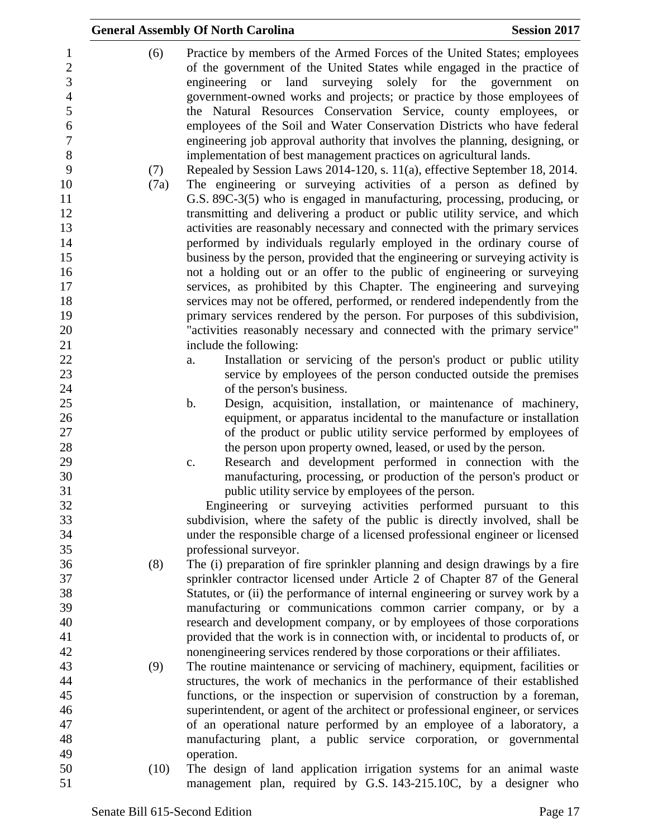|                          | <b>General Assembly Of North Carolina</b><br><b>Session 2017</b>                                                                                                                                                                                                                                                                                                                                                                                                                                                                                                                                                                                                                                                                                      |
|--------------------------|-------------------------------------------------------------------------------------------------------------------------------------------------------------------------------------------------------------------------------------------------------------------------------------------------------------------------------------------------------------------------------------------------------------------------------------------------------------------------------------------------------------------------------------------------------------------------------------------------------------------------------------------------------------------------------------------------------------------------------------------------------|
| (6)<br>(7)<br>10<br>(7a) | Practice by members of the Armed Forces of the United States; employees<br>of the government of the United States while engaged in the practice of<br>engineering or land surveying solely for the government<br>on<br>government-owned works and projects; or practice by those employees of<br>the Natural Resources Conservation Service, county employees, or<br>employees of the Soil and Water Conservation Districts who have federal<br>engineering job approval authority that involves the planning, designing, or<br>implementation of best management practices on agricultural lands.<br>Repealed by Session Laws 2014-120, s. 11(a), effective September 18, 2014.<br>The engineering or surveying activities of a person as defined by |
|                          | G.S. 89C-3(5) who is engaged in manufacturing, processing, producing, or<br>transmitting and delivering a product or public utility service, and which                                                                                                                                                                                                                                                                                                                                                                                                                                                                                                                                                                                                |
|                          | activities are reasonably necessary and connected with the primary services<br>performed by individuals regularly employed in the ordinary course of                                                                                                                                                                                                                                                                                                                                                                                                                                                                                                                                                                                                  |
| 16                       | business by the person, provided that the engineering or surveying activity is<br>not a holding out or an offer to the public of engineering or surveying                                                                                                                                                                                                                                                                                                                                                                                                                                                                                                                                                                                             |
|                          | services, as prohibited by this Chapter. The engineering and surveying                                                                                                                                                                                                                                                                                                                                                                                                                                                                                                                                                                                                                                                                                |
|                          | services may not be offered, performed, or rendered independently from the                                                                                                                                                                                                                                                                                                                                                                                                                                                                                                                                                                                                                                                                            |
| 19<br>20                 | primary services rendered by the person. For purposes of this subdivision,<br>"activities reasonably necessary and connected with the primary service"                                                                                                                                                                                                                                                                                                                                                                                                                                                                                                                                                                                                |
|                          | include the following:                                                                                                                                                                                                                                                                                                                                                                                                                                                                                                                                                                                                                                                                                                                                |
|                          | Installation or servicing of the person's product or public utility<br>a.                                                                                                                                                                                                                                                                                                                                                                                                                                                                                                                                                                                                                                                                             |
|                          | service by employees of the person conducted outside the premises                                                                                                                                                                                                                                                                                                                                                                                                                                                                                                                                                                                                                                                                                     |
| 24                       | of the person's business.                                                                                                                                                                                                                                                                                                                                                                                                                                                                                                                                                                                                                                                                                                                             |
| 25                       | $\mathbf b$ .<br>Design, acquisition, installation, or maintenance of machinery,                                                                                                                                                                                                                                                                                                                                                                                                                                                                                                                                                                                                                                                                      |
| 26                       | equipment, or apparatus incidental to the manufacture or installation                                                                                                                                                                                                                                                                                                                                                                                                                                                                                                                                                                                                                                                                                 |
|                          | of the product or public utility service performed by employees of<br>the person upon property owned, leased, or used by the person.                                                                                                                                                                                                                                                                                                                                                                                                                                                                                                                                                                                                                  |
| 29                       | Research and development performed in connection with the<br>$\mathbf{C}$ .                                                                                                                                                                                                                                                                                                                                                                                                                                                                                                                                                                                                                                                                           |
| 30                       | manufacturing, processing, or production of the person's product or                                                                                                                                                                                                                                                                                                                                                                                                                                                                                                                                                                                                                                                                                   |
|                          | public utility service by employees of the person.                                                                                                                                                                                                                                                                                                                                                                                                                                                                                                                                                                                                                                                                                                    |
|                          | Engineering or surveying activities performed pursuant to this                                                                                                                                                                                                                                                                                                                                                                                                                                                                                                                                                                                                                                                                                        |
|                          | subdivision, where the safety of the public is directly involved, shall be                                                                                                                                                                                                                                                                                                                                                                                                                                                                                                                                                                                                                                                                            |
| 34                       | under the responsible charge of a licensed professional engineer or licensed                                                                                                                                                                                                                                                                                                                                                                                                                                                                                                                                                                                                                                                                          |
| 35                       | professional surveyor.                                                                                                                                                                                                                                                                                                                                                                                                                                                                                                                                                                                                                                                                                                                                |
| (8)                      | The (i) preparation of fire sprinkler planning and design drawings by a fire                                                                                                                                                                                                                                                                                                                                                                                                                                                                                                                                                                                                                                                                          |
|                          | sprinkler contractor licensed under Article 2 of Chapter 87 of the General                                                                                                                                                                                                                                                                                                                                                                                                                                                                                                                                                                                                                                                                            |
| 38                       | Statutes, or (ii) the performance of internal engineering or survey work by a                                                                                                                                                                                                                                                                                                                                                                                                                                                                                                                                                                                                                                                                         |
| 39<br>40                 | manufacturing or communications common carrier company, or by a<br>research and development company, or by employees of those corporations                                                                                                                                                                                                                                                                                                                                                                                                                                                                                                                                                                                                            |
|                          | provided that the work is in connection with, or incidental to products of, or                                                                                                                                                                                                                                                                                                                                                                                                                                                                                                                                                                                                                                                                        |
|                          | nonengineering services rendered by those corporations or their affiliates.                                                                                                                                                                                                                                                                                                                                                                                                                                                                                                                                                                                                                                                                           |
| (9)                      | The routine maintenance or servicing of machinery, equipment, facilities or                                                                                                                                                                                                                                                                                                                                                                                                                                                                                                                                                                                                                                                                           |
| 44                       | structures, the work of mechanics in the performance of their established                                                                                                                                                                                                                                                                                                                                                                                                                                                                                                                                                                                                                                                                             |
| 45                       | functions, or the inspection or supervision of construction by a foreman,                                                                                                                                                                                                                                                                                                                                                                                                                                                                                                                                                                                                                                                                             |
|                          | superintendent, or agent of the architect or professional engineer, or services                                                                                                                                                                                                                                                                                                                                                                                                                                                                                                                                                                                                                                                                       |
|                          | of an operational nature performed by an employee of a laboratory, a                                                                                                                                                                                                                                                                                                                                                                                                                                                                                                                                                                                                                                                                                  |
|                          | manufacturing plant, a public service corporation, or governmental                                                                                                                                                                                                                                                                                                                                                                                                                                                                                                                                                                                                                                                                                    |
| 49                       | operation.                                                                                                                                                                                                                                                                                                                                                                                                                                                                                                                                                                                                                                                                                                                                            |
| 50<br>(10)               | The design of land application irrigation systems for an animal waste<br>management plan, required by G.S. 143-215.10C, by a designer who                                                                                                                                                                                                                                                                                                                                                                                                                                                                                                                                                                                                             |
|                          |                                                                                                                                                                                                                                                                                                                                                                                                                                                                                                                                                                                                                                                                                                                                                       |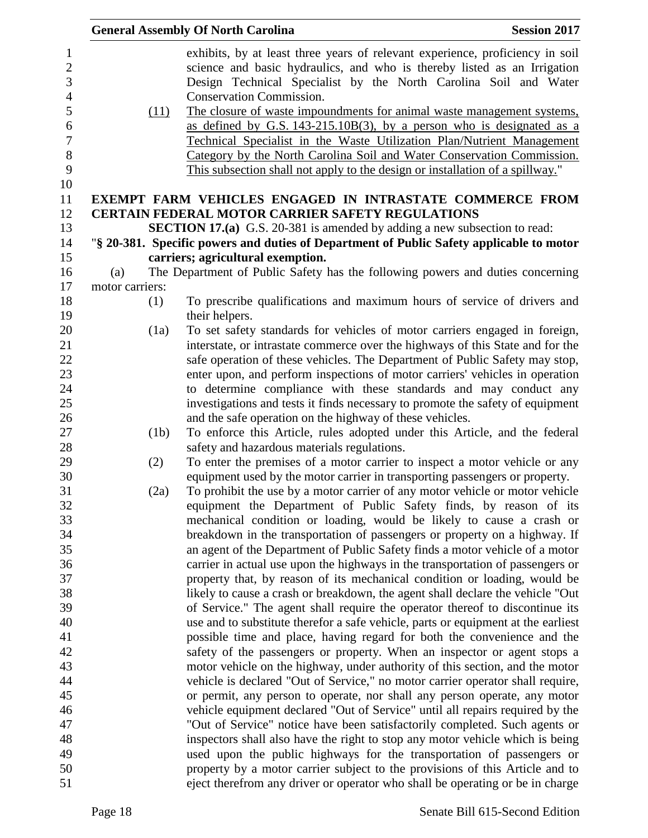|                 | <b>General Assembly Of North Carolina</b>                                                                                                                                                                                                                                                                                           | <b>Session 2017</b> |
|-----------------|-------------------------------------------------------------------------------------------------------------------------------------------------------------------------------------------------------------------------------------------------------------------------------------------------------------------------------------|---------------------|
| (11)            | exhibits, by at least three years of relevant experience, proficiency in soil<br>science and basic hydraulics, and who is thereby listed as an Irrigation<br>Design Technical Specialist by the North Carolina Soil and Water<br>Conservation Commission.<br>The closure of waste impoundments for animal waste management systems, |                     |
|                 | as defined by G.S. 143-215.10B(3), by a person who is designated as a<br>Technical Specialist in the Waste Utilization Plan/Nutrient Management<br>Category by the North Carolina Soil and Water Conservation Commission.<br>This subsection shall not apply to the design or installation of a spillway."                          |                     |
|                 | EXEMPT FARM VEHICLES ENGAGED IN INTRASTATE COMMERCE FROM<br><b>CERTAIN FEDERAL MOTOR CARRIER SAFETY REGULATIONS</b>                                                                                                                                                                                                                 |                     |
|                 | <b>SECTION 17.(a)</b> G.S. 20-381 is amended by adding a new subsection to read:                                                                                                                                                                                                                                                    |                     |
|                 | "§ 20-381. Specific powers and duties of Department of Public Safety applicable to motor                                                                                                                                                                                                                                            |                     |
|                 | carriers; agricultural exemption.                                                                                                                                                                                                                                                                                                   |                     |
| (a)             | The Department of Public Safety has the following powers and duties concerning                                                                                                                                                                                                                                                      |                     |
| motor carriers: |                                                                                                                                                                                                                                                                                                                                     |                     |
| (1)             | To prescribe qualifications and maximum hours of service of drivers and<br>their helpers.                                                                                                                                                                                                                                           |                     |
| (1a)            | To set safety standards for vehicles of motor carriers engaged in foreign,                                                                                                                                                                                                                                                          |                     |
|                 | interstate, or intrastate commerce over the highways of this State and for the                                                                                                                                                                                                                                                      |                     |
|                 | safe operation of these vehicles. The Department of Public Safety may stop,                                                                                                                                                                                                                                                         |                     |
|                 | enter upon, and perform inspections of motor carriers' vehicles in operation                                                                                                                                                                                                                                                        |                     |
|                 | to determine compliance with these standards and may conduct any                                                                                                                                                                                                                                                                    |                     |
|                 | investigations and tests it finds necessary to promote the safety of equipment                                                                                                                                                                                                                                                      |                     |
|                 | and the safe operation on the highway of these vehicles.                                                                                                                                                                                                                                                                            |                     |
| (1b)            | To enforce this Article, rules adopted under this Article, and the federal                                                                                                                                                                                                                                                          |                     |
|                 | safety and hazardous materials regulations.<br>To enter the premises of a motor carrier to inspect a motor vehicle or any                                                                                                                                                                                                           |                     |
| (2)             | equipment used by the motor carrier in transporting passengers or property.                                                                                                                                                                                                                                                         |                     |
| (2a)            | To prohibit the use by a motor carrier of any motor vehicle or motor vehicle                                                                                                                                                                                                                                                        |                     |
|                 | equipment the Department of Public Safety finds, by reason of its                                                                                                                                                                                                                                                                   |                     |
|                 | mechanical condition or loading, would be likely to cause a crash or                                                                                                                                                                                                                                                                |                     |
|                 | breakdown in the transportation of passengers or property on a highway. If                                                                                                                                                                                                                                                          |                     |
|                 | an agent of the Department of Public Safety finds a motor vehicle of a motor                                                                                                                                                                                                                                                        |                     |
|                 | carrier in actual use upon the highways in the transportation of passengers or                                                                                                                                                                                                                                                      |                     |
|                 | property that, by reason of its mechanical condition or loading, would be                                                                                                                                                                                                                                                           |                     |
|                 | likely to cause a crash or breakdown, the agent shall declare the vehicle "Out                                                                                                                                                                                                                                                      |                     |
|                 | of Service." The agent shall require the operator thereof to discontinue its                                                                                                                                                                                                                                                        |                     |
|                 | use and to substitute therefor a safe vehicle, parts or equipment at the earliest                                                                                                                                                                                                                                                   |                     |
|                 | possible time and place, having regard for both the convenience and the                                                                                                                                                                                                                                                             |                     |
|                 | safety of the passengers or property. When an inspector or agent stops a                                                                                                                                                                                                                                                            |                     |
|                 | motor vehicle on the highway, under authority of this section, and the motor                                                                                                                                                                                                                                                        |                     |
|                 | vehicle is declared "Out of Service," no motor carrier operator shall require,                                                                                                                                                                                                                                                      |                     |
|                 | or permit, any person to operate, nor shall any person operate, any motor                                                                                                                                                                                                                                                           |                     |
|                 | vehicle equipment declared "Out of Service" until all repairs required by the<br>"Out of Service" notice have been satisfactorily completed. Such agents or                                                                                                                                                                         |                     |
|                 | inspectors shall also have the right to stop any motor vehicle which is being                                                                                                                                                                                                                                                       |                     |
|                 | used upon the public highways for the transportation of passengers or                                                                                                                                                                                                                                                               |                     |
|                 | property by a motor carrier subject to the provisions of this Article and to                                                                                                                                                                                                                                                        |                     |
|                 | eject therefrom any driver or operator who shall be operating or be in charge                                                                                                                                                                                                                                                       |                     |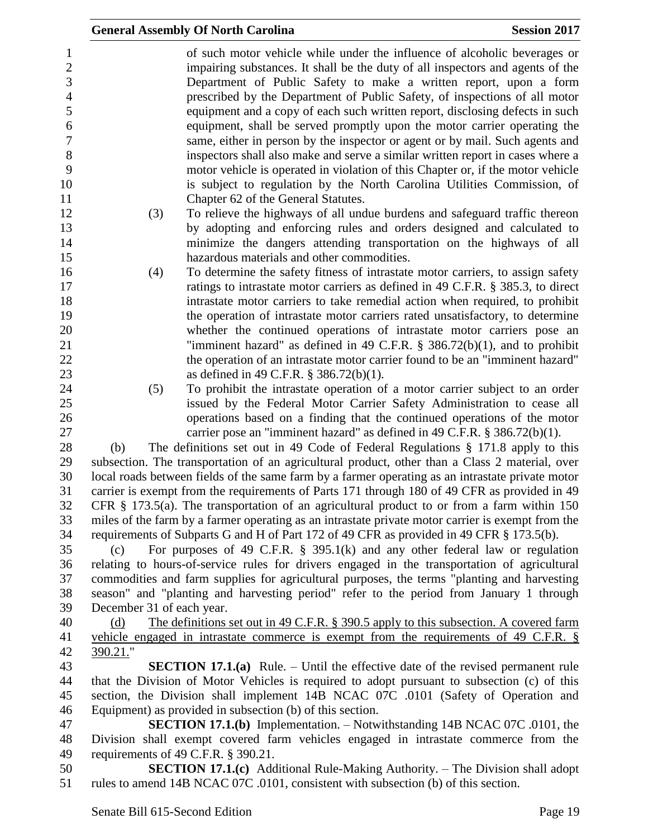|                                                                                              |                                        | <b>General Assembly Of North Carolina</b>                                                                                                                                                                                                                                                                                                                                                                                                                                                                                                                                                                                                                                                                                                                                                                  | <b>Session 2017</b> |
|----------------------------------------------------------------------------------------------|----------------------------------------|------------------------------------------------------------------------------------------------------------------------------------------------------------------------------------------------------------------------------------------------------------------------------------------------------------------------------------------------------------------------------------------------------------------------------------------------------------------------------------------------------------------------------------------------------------------------------------------------------------------------------------------------------------------------------------------------------------------------------------------------------------------------------------------------------------|---------------------|
| 1<br>$\overline{2}$<br>3<br>$\overline{4}$<br>5<br>6<br>$\boldsymbol{7}$<br>$8\,$<br>9<br>10 |                                        | of such motor vehicle while under the influence of alcoholic beverages or<br>impairing substances. It shall be the duty of all inspectors and agents of the<br>Department of Public Safety to make a written report, upon a form<br>prescribed by the Department of Public Safety, of inspections of all motor<br>equipment and a copy of each such written report, disclosing defects in such<br>equipment, shall be served promptly upon the motor carrier operating the<br>same, either in person by the inspector or agent or by mail. Such agents and<br>inspectors shall also make and serve a similar written report in cases where a<br>motor vehicle is operated in violation of this Chapter or, if the motor vehicle<br>is subject to regulation by the North Carolina Utilities Commission, of |                     |
| 11                                                                                           |                                        | Chapter 62 of the General Statutes.                                                                                                                                                                                                                                                                                                                                                                                                                                                                                                                                                                                                                                                                                                                                                                        |                     |
| 12                                                                                           | (3)                                    | To relieve the highways of all undue burdens and safeguard traffic thereon                                                                                                                                                                                                                                                                                                                                                                                                                                                                                                                                                                                                                                                                                                                                 |                     |
| 13<br>14                                                                                     |                                        | by adopting and enforcing rules and orders designed and calculated to<br>minimize the dangers attending transportation on the highways of all                                                                                                                                                                                                                                                                                                                                                                                                                                                                                                                                                                                                                                                              |                     |
| 15                                                                                           |                                        | hazardous materials and other commodities.                                                                                                                                                                                                                                                                                                                                                                                                                                                                                                                                                                                                                                                                                                                                                                 |                     |
| 16                                                                                           | (4)                                    | To determine the safety fitness of intrastate motor carriers, to assign safety                                                                                                                                                                                                                                                                                                                                                                                                                                                                                                                                                                                                                                                                                                                             |                     |
| 17<br>18                                                                                     |                                        | ratings to intrastate motor carriers as defined in 49 C.F.R. § 385.3, to direct<br>intrastate motor carriers to take remedial action when required, to prohibit                                                                                                                                                                                                                                                                                                                                                                                                                                                                                                                                                                                                                                            |                     |
| 19                                                                                           |                                        | the operation of intrastate motor carriers rated unsatisfactory, to determine                                                                                                                                                                                                                                                                                                                                                                                                                                                                                                                                                                                                                                                                                                                              |                     |
| 20                                                                                           |                                        | whether the continued operations of intrastate motor carriers pose an                                                                                                                                                                                                                                                                                                                                                                                                                                                                                                                                                                                                                                                                                                                                      |                     |
| 21                                                                                           |                                        | "imminent hazard" as defined in 49 C.F.R. $\S$ 386.72(b)(1), and to prohibit                                                                                                                                                                                                                                                                                                                                                                                                                                                                                                                                                                                                                                                                                                                               |                     |
| 22                                                                                           |                                        | the operation of an intrastate motor carrier found to be an "imminent hazard"                                                                                                                                                                                                                                                                                                                                                                                                                                                                                                                                                                                                                                                                                                                              |                     |
| 23                                                                                           |                                        | as defined in 49 C.F.R. $\S$ 386.72(b)(1).                                                                                                                                                                                                                                                                                                                                                                                                                                                                                                                                                                                                                                                                                                                                                                 |                     |
| 24                                                                                           | (5)                                    | To prohibit the intrastate operation of a motor carrier subject to an order                                                                                                                                                                                                                                                                                                                                                                                                                                                                                                                                                                                                                                                                                                                                |                     |
| 25                                                                                           |                                        | issued by the Federal Motor Carrier Safety Administration to cease all                                                                                                                                                                                                                                                                                                                                                                                                                                                                                                                                                                                                                                                                                                                                     |                     |
| 26                                                                                           |                                        | operations based on a finding that the continued operations of the motor                                                                                                                                                                                                                                                                                                                                                                                                                                                                                                                                                                                                                                                                                                                                   |                     |
| 27                                                                                           |                                        | carrier pose an "imminent hazard" as defined in 49 C.F.R. $\S 386.72(b)(1)$ .                                                                                                                                                                                                                                                                                                                                                                                                                                                                                                                                                                                                                                                                                                                              |                     |
| 28                                                                                           | (b)                                    | The definitions set out in 49 Code of Federal Regulations $\S$ 171.8 apply to this                                                                                                                                                                                                                                                                                                                                                                                                                                                                                                                                                                                                                                                                                                                         |                     |
| 29                                                                                           |                                        | subsection. The transportation of an agricultural product, other than a Class 2 material, over                                                                                                                                                                                                                                                                                                                                                                                                                                                                                                                                                                                                                                                                                                             |                     |
| 30                                                                                           |                                        | local roads between fields of the same farm by a farmer operating as an intrastate private motor                                                                                                                                                                                                                                                                                                                                                                                                                                                                                                                                                                                                                                                                                                           |                     |
| 31                                                                                           |                                        | carrier is exempt from the requirements of Parts 171 through 180 of 49 CFR as provided in 49                                                                                                                                                                                                                                                                                                                                                                                                                                                                                                                                                                                                                                                                                                               |                     |
| 32                                                                                           |                                        | CFR § 173.5(a). The transportation of an agricultural product to or from a farm within 150                                                                                                                                                                                                                                                                                                                                                                                                                                                                                                                                                                                                                                                                                                                 |                     |
| 33                                                                                           |                                        | miles of the farm by a farmer operating as an intrastate private motor carrier is exempt from the                                                                                                                                                                                                                                                                                                                                                                                                                                                                                                                                                                                                                                                                                                          |                     |
| 34<br>35                                                                                     | (c)                                    | requirements of Subparts G and H of Part 172 of 49 CFR as provided in 49 CFR § 173.5(b).<br>For purposes of 49 C.F.R. $\S$ 395.1(k) and any other federal law or regulation                                                                                                                                                                                                                                                                                                                                                                                                                                                                                                                                                                                                                                |                     |
| 36                                                                                           |                                        | relating to hours-of-service rules for drivers engaged in the transportation of agricultural                                                                                                                                                                                                                                                                                                                                                                                                                                                                                                                                                                                                                                                                                                               |                     |
| 37                                                                                           |                                        | commodities and farm supplies for agricultural purposes, the terms "planting and harvesting                                                                                                                                                                                                                                                                                                                                                                                                                                                                                                                                                                                                                                                                                                                |                     |
| 38                                                                                           |                                        | season" and "planting and harvesting period" refer to the period from January 1 through                                                                                                                                                                                                                                                                                                                                                                                                                                                                                                                                                                                                                                                                                                                    |                     |
| 39                                                                                           | December 31 of each year.              |                                                                                                                                                                                                                                                                                                                                                                                                                                                                                                                                                                                                                                                                                                                                                                                                            |                     |
| 40                                                                                           | (d)                                    | The definitions set out in 49 C.F.R. § 390.5 apply to this subsection. A covered farm                                                                                                                                                                                                                                                                                                                                                                                                                                                                                                                                                                                                                                                                                                                      |                     |
| 41                                                                                           |                                        | vehicle engaged in intrastate commerce is exempt from the requirements of 49 C.F.R. §                                                                                                                                                                                                                                                                                                                                                                                                                                                                                                                                                                                                                                                                                                                      |                     |
| 42                                                                                           | 390.21."                               |                                                                                                                                                                                                                                                                                                                                                                                                                                                                                                                                                                                                                                                                                                                                                                                                            |                     |
| 43                                                                                           |                                        | <b>SECTION 17.1.(a)</b> Rule. – Until the effective date of the revised permanent rule                                                                                                                                                                                                                                                                                                                                                                                                                                                                                                                                                                                                                                                                                                                     |                     |
| 44<br>45                                                                                     |                                        | that the Division of Motor Vehicles is required to adopt pursuant to subsection (c) of this<br>section, the Division shall implement 14B NCAC 07C .0101 (Safety of Operation and                                                                                                                                                                                                                                                                                                                                                                                                                                                                                                                                                                                                                           |                     |
| 46                                                                                           |                                        | Equipment) as provided in subsection (b) of this section.                                                                                                                                                                                                                                                                                                                                                                                                                                                                                                                                                                                                                                                                                                                                                  |                     |
| 47                                                                                           |                                        | <b>SECTION 17.1.(b)</b> Implementation. - Notwithstanding 14B NCAC 07C .0101, the                                                                                                                                                                                                                                                                                                                                                                                                                                                                                                                                                                                                                                                                                                                          |                     |
| 48                                                                                           |                                        | Division shall exempt covered farm vehicles engaged in intrastate commerce from the                                                                                                                                                                                                                                                                                                                                                                                                                                                                                                                                                                                                                                                                                                                        |                     |
| 49                                                                                           | requirements of 49 C.F.R. $\S$ 390.21. |                                                                                                                                                                                                                                                                                                                                                                                                                                                                                                                                                                                                                                                                                                                                                                                                            |                     |
| 50                                                                                           |                                        | <b>SECTION 17.1.(c)</b> Additional Rule-Making Authority. – The Division shall adopt                                                                                                                                                                                                                                                                                                                                                                                                                                                                                                                                                                                                                                                                                                                       |                     |
| 51                                                                                           |                                        | rules to amend 14B NCAC 07C .0101, consistent with subsection (b) of this section.                                                                                                                                                                                                                                                                                                                                                                                                                                                                                                                                                                                                                                                                                                                         |                     |